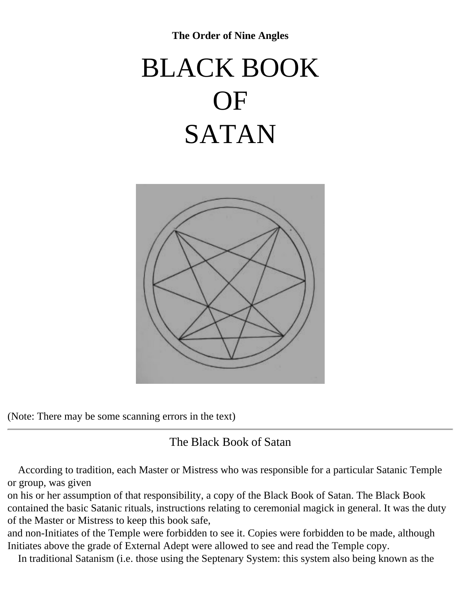**The Order of Nine Angles** 

# <span id="page-0-0"></span>BLACK BOOK OF SATAN



(Note: There may be some scanning errors in the text)

# The Black Book of Satan

 According to tradition, each Master or Mistress who was responsible for a particular Satanic Temple or group, was given

on his or her assumption of that responsibility, a copy of the Black Book of Satan. The Black Book contained the basic Satanic rituals, instructions relating to ceremonial magick in general. It was the duty of the Master or Mistress to keep this book safe,

and non-Initiates of the Temple were forbidden to see it. Copies were forbidden to be made, although Initiates above the grade of External Adept were allowed to see and read the Temple copy.

In traditional Satanism (i.e. those using the Septenary System: this system also being known as the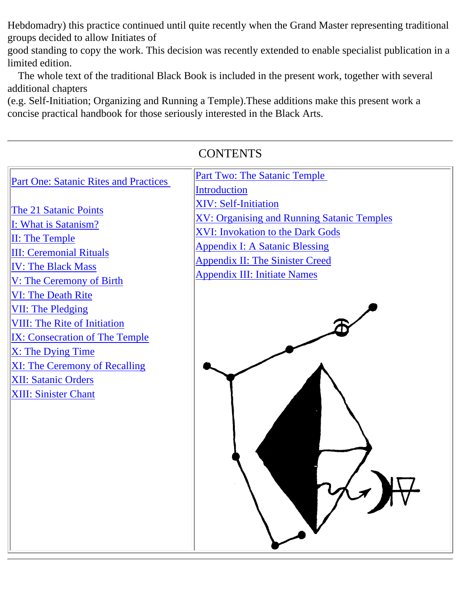Hebdomadry) this practice continued until quite recently when the Grand Master representing traditional groups decided to allow Initiates of

good standing to copy the work. This decision was recently extended to enable specialist publication in a limited edition.

 The whole text of the traditional Black Book is included in the present work, together with several additional chapters

(e.g. Self-Initiation; Organizing and Running a Temple).These additions make this present work a concise practical handbook for those seriously interested in the Black Arts.

| <b>Part Two: The Satanic Temple</b><br><b>Part One: Satanic Rites and Practices</b>                                                                                                                                                                                                                                                                                                                                                                                                                                                                                                                                                                                                                                  |
|----------------------------------------------------------------------------------------------------------------------------------------------------------------------------------------------------------------------------------------------------------------------------------------------------------------------------------------------------------------------------------------------------------------------------------------------------------------------------------------------------------------------------------------------------------------------------------------------------------------------------------------------------------------------------------------------------------------------|
| <b>Introduction</b><br><b>XIV: Self-Initiation</b><br>The 21 Satanic Points<br><b>XV: Organising and Running Satanic Temples</b><br>I: What is Satanism?<br><b>XVI: Invokation to the Dark Gods</b><br><b>II: The Temple</b><br><b>Appendix I: A Satanic Blessing</b><br><b>III: Ceremonial Rituals</b><br><b>Appendix II: The Sinister Creed</b><br><b>IV: The Black Mass</b><br><b>Appendix III: Initiate Names</b><br>V: The Ceremony of Birth<br><b>VI: The Death Rite</b><br><b>VII: The Pledging</b><br><b>VIII: The Rite of Initiation</b><br><b>IX: Consecration of The Temple</b><br>X: The Dying Time<br><b>XI: The Ceremony of Recalling</b><br><b>XII: Satanic Orders</b><br><b>XIII: Sinister Chant</b> |

# $C$  $\Omega$  Terms that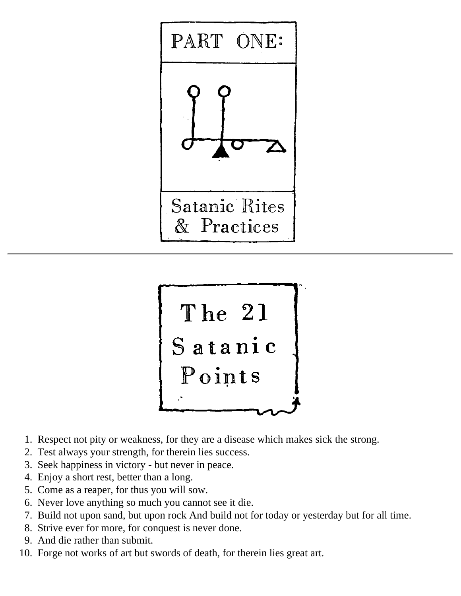



- 1. Respect not pity or weakness, for they are a disease which makes sick the strong.
- 2. Test always your strength, for therein lies success.
- 3. Seek happiness in victory but never in peace.
- 4. Enjoy a short rest, better than a long.
- 5. Come as a reaper, for thus you will sow.
- 6. Never love anything so much you cannot see it die.
- 7. Build not upon sand, but upon rock And build not for today or yesterday but for all time.
- 8. Strive ever for more, for conquest is never done.
- 9. And die rather than submit.
- 10. Forge not works of art but swords of death, for therein lies great art.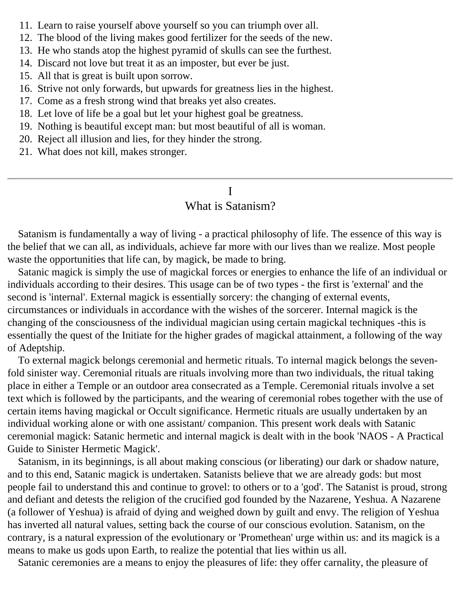- 11. Learn to raise yourself above yourself so you can triumph over all.
- 12. The blood of the living makes good fertilizer for the seeds of the new.
- 13. He who stands atop the highest pyramid of skulls can see the furthest.
- 14. Discard not love but treat it as an imposter, but ever be just.
- 15. All that is great is built upon sorrow.
- 16. Strive not only forwards, but upwards for greatness lies in the highest.
- 17. Come as a fresh strong wind that breaks yet also creates.
- 18. Let love of life be a goal but let your highest goal be greatness.
- 19. Nothing is beautiful except man: but most beautiful of all is woman.
- 20. Reject all illusion and lies, for they hinder the strong.
- <span id="page-3-0"></span>21. What does not kill, makes stronger.

# I

## What is Satanism?

 Satanism is fundamentally a way of living - a practical philosophy of life. The essence of this way is the belief that we can all, as individuals, achieve far more with our lives than we realize. Most people waste the opportunities that life can, by magick, be made to bring.

 Satanic magick is simply the use of magickal forces or energies to enhance the life of an individual or individuals according to their desires. This usage can be of two types - the first is 'external' and the second is 'internal'. External magick is essentially sorcery: the changing of external events, circumstances or individuals in accordance with the wishes of the sorcerer. Internal magick is the changing of the consciousness of the individual magician using certain magickal techniques -this is essentially the quest of the Initiate for the higher grades of magickal attainment, a following of the way of Adeptship.

 To external magick belongs ceremonial and hermetic rituals. To internal magick belongs the sevenfold sinister way. Ceremonial rituals are rituals involving more than two individuals, the ritual taking place in either a Temple or an outdoor area consecrated as a Temple. Ceremonial rituals involve a set text which is followed by the participants, and the wearing of ceremonial robes together with the use of certain items having magickal or Occult significance. Hermetic rituals are usually undertaken by an individual working alone or with one assistant/ companion. This present work deals with Satanic ceremonial magick: Satanic hermetic and internal magick is dealt with in the book 'NAOS - A Practical Guide to Sinister Hermetic Magick'.

 Satanism, in its beginnings, is all about making conscious (or liberating) our dark or shadow nature, and to this end, Satanic magick is undertaken. Satanists believe that we are already gods: but most people fail to understand this and continue to grovel: to others or to a 'god'. The Satanist is proud, strong and defiant and detests the religion of the crucified god founded by the Nazarene, Yeshua. A Nazarene (a follower of Yeshua) is afraid of dying and weighed down by guilt and envy. The religion of Yeshua has inverted all natural values, setting back the course of our conscious evolution. Satanism, on the contrary, is a natural expression of the evolutionary or 'Promethean' urge within us: and its magick is a means to make us gods upon Earth, to realize the potential that lies within us all.

Satanic ceremonies are a means to enjoy the pleasures of life: they offer carnality, the pleasure of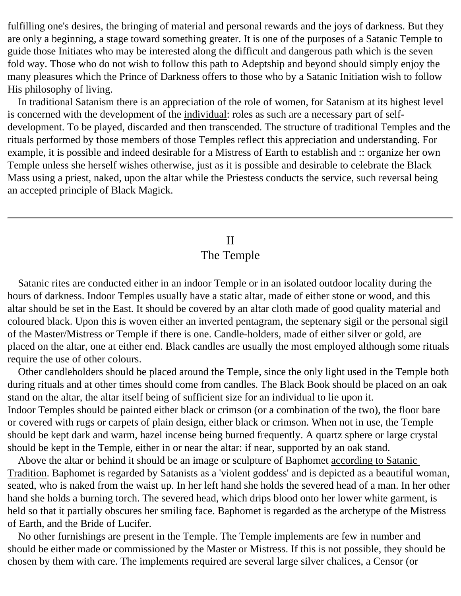fulfilling one's desires, the bringing of material and personal rewards and the joys of darkness. But they are only a beginning, a stage toward something greater. It is one of the purposes of a Satanic Temple to guide those Initiates who may be interested along the difficult and dangerous path which is the seven fold way. Those who do not wish to follow this path to Adeptship and beyond should simply enjoy the many pleasures which the Prince of Darkness offers to those who by a Satanic Initiation wish to follow His philosophy of living.

 In traditional Satanism there is an appreciation of the role of women, for Satanism at its highest level is concerned with the development of the individual: roles as such are a necessary part of selfdevelopment. To be played, discarded and then transcended. The structure of traditional Temples and the rituals performed by those members of those Temples reflect this appreciation and understanding. For example, it is possible and indeed desirable for a Mistress of Earth to establish and :: organize her own Temple unless she herself wishes otherwise, just as it is possible and desirable to celebrate the Black Mass using a priest, naked, upon the altar while the Priestess conducts the service, such reversal being an accepted principle of Black Magick.

# II The Temple

<span id="page-4-0"></span> Satanic rites are conducted either in an indoor Temple or in an isolated outdoor locality during the hours of darkness. Indoor Temples usually have a static altar, made of either stone or wood, and this altar should be set in the East. It should be covered by an altar cloth made of good quality material and coloured black. Upon this is woven either an inverted pentagram, the septenary sigil or the personal sigil of the Master/Mistress or Temple if there is one. Candle-holders, made of either silver or gold, are placed on the altar, one at either end. Black candles are usually the most employed although some rituals require the use of other colours.

 Other candleholders should be placed around the Temple, since the only light used in the Temple both during rituals and at other times should come from candles. The Black Book should be placed on an oak stand on the altar, the altar itself being of sufficient size for an individual to lie upon it. Indoor Temples should be painted either black or crimson (or a combination of the two), the floor bare or covered with rugs or carpets of plain design, either black or crimson. When not in use, the Temple should be kept dark and warm, hazel incense being burned frequently. A quartz sphere or large crystal should be kept in the Temple, either in or near the altar: if near, supported by an oak stand.

 Above the altar or behind it should be an image or sculpture of Baphomet according to Satanic Tradition. Baphomet is regarded by Satanists as a 'violent goddess' and is depicted as a beautiful woman, seated, who is naked from the waist up. In her left hand she holds the severed head of a man. In her other hand she holds a burning torch. The severed head, which drips blood onto her lower white garment, is held so that it partially obscures her smiling face. Baphomet is regarded as the archetype of the Mistress of Earth, and the Bride of Lucifer.

 No other furnishings are present in the Temple. The Temple implements are few in number and should be either made or commissioned by the Master or Mistress. If this is not possible, they should be chosen by them with care. The implements required are several large silver chalices, a Censor (or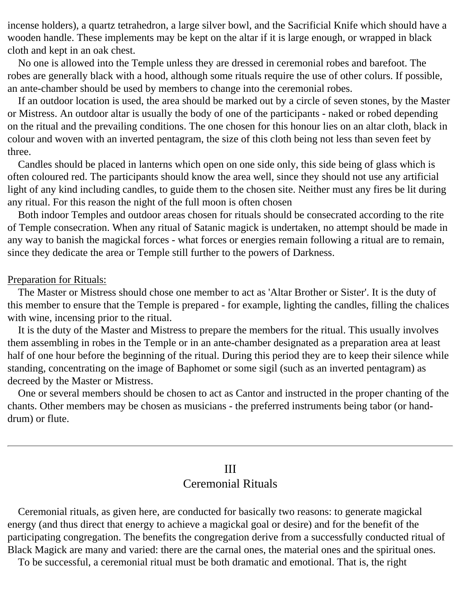incense holders), a quartz tetrahedron, a large silver bowl, and the Sacrificial Knife which should have a wooden handle. These implements may be kept on the altar if it is large enough, or wrapped in black cloth and kept in an oak chest.

 No one is allowed into the Temple unless they are dressed in ceremonial robes and barefoot. The robes are generally black with a hood, although some rituals require the use of other colurs. If possible, an ante-chamber should be used by members to change into the ceremonial robes.

 If an outdoor location is used, the area should be marked out by a circle of seven stones, by the Master or Mistress. An outdoor altar is usually the body of one of the participants - naked or robed depending on the ritual and the prevailing conditions. The one chosen for this honour lies on an altar cloth, black in colour and woven with an inverted pentagram, the size of this cloth being not less than seven feet by three.

 Candles should be placed in lanterns which open on one side only, this side being of glass which is often coloured red. The participants should know the area well, since they should not use any artificial light of any kind including candles, to guide them to the chosen site. Neither must any fires be lit during any ritual. For this reason the night of the full moon is often chosen

 Both indoor Temples and outdoor areas chosen for rituals should be consecrated according to the rite of Temple consecration. When any ritual of Satanic magick is undertaken, no attempt should be made in any way to banish the magickal forces - what forces or energies remain following a ritual are to remain, since they dedicate the area or Temple still further to the powers of Darkness.

#### Preparation for Rituals:

 The Master or Mistress should chose one member to act as 'Altar Brother or Sister'. It is the duty of this member to ensure that the Temple is prepared - for example, lighting the candles, filling the chalices with wine, incensing prior to the ritual.

 It is the duty of the Master and Mistress to prepare the members for the ritual. This usually involves them assembling in robes in the Temple or in an ante-chamber designated as a preparation area at least half of one hour before the beginning of the ritual. During this period they are to keep their silence while standing, concentrating on the image of Baphomet or some sigil (such as an inverted pentagram) as decreed by the Master or Mistress.

 One or several members should be chosen to act as Cantor and instructed in the proper chanting of the chants. Other members may be chosen as musicians - the preferred instruments being tabor (or handdrum) or flute.

# III Ceremonial Rituals

<span id="page-5-0"></span> Ceremonial rituals, as given here, are conducted for basically two reasons: to generate magickal energy (and thus direct that energy to achieve a magickal goal or desire) and for the benefit of the participating congregation. The benefits the congregation derive from a successfully conducted ritual of Black Magick are many and varied: there are the carnal ones, the material ones and the spiritual ones.

To be successful, a ceremonial ritual must be both dramatic and emotional. That is, the right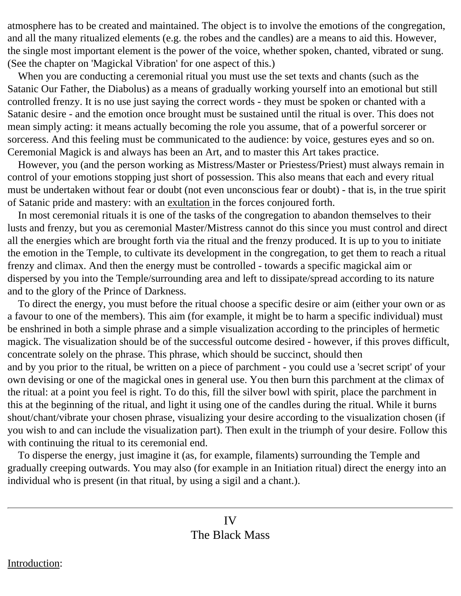atmosphere has to be created and maintained. The object is to involve the emotions of the congregation, and all the many ritualized elements (e.g. the robes and the candles) are a means to aid this. However, the single most important element is the power of the voice, whether spoken, chanted, vibrated or sung. (See the chapter on 'Magickal Vibration' for one aspect of this.)

 When you are conducting a ceremonial ritual you must use the set texts and chants (such as the Satanic Our Father, the Diabolus) as a means of gradually working yourself into an emotional but still controlled frenzy. It is no use just saying the correct words - they must be spoken or chanted with a Satanic desire - and the emotion once brought must be sustained until the ritual is over. This does not mean simply acting: it means actually becoming the role you assume, that of a powerful sorcerer or sorceress. And this feeling must be communicated to the audience: by voice, gestures eyes and so on. Ceremonial Magick is and always has been an Art, and to master this Art takes practice.

 However, you (and the person working as Mistress/Master or Priestess/Priest) must always remain in control of your emotions stopping just short of possession. This also means that each and every ritual must be undertaken without fear or doubt (not even unconscious fear or doubt) - that is, in the true spirit of Satanic pride and mastery: with an exultation in the forces conjoured forth.

 In most ceremonial rituals it is one of the tasks of the congregation to abandon themselves to their lusts and frenzy, but you as ceremonial Master/Mistress cannot do this since you must control and direct all the energies which are brought forth via the ritual and the frenzy produced. It is up to you to initiate the emotion in the Temple, to cultivate its development in the congregation, to get them to reach a ritual frenzy and climax. And then the energy must be controlled - towards a specific magickal aim or dispersed by you into the Temple/surrounding area and left to dissipate/spread according to its nature and to the glory of the Prince of Darkness.

 To direct the energy, you must before the ritual choose a specific desire or aim (either your own or as a favour to one of the members). This aim (for example, it might be to harm a specific individual) must be enshrined in both a simple phrase and a simple visualization according to the principles of hermetic magick. The visualization should be of the successful outcome desired - however, if this proves difficult, concentrate solely on the phrase. This phrase, which should be succinct, should then and by you prior to the ritual, be written on a piece of parchment - you could use a 'secret script' of your own devising or one of the magickal ones in general use. You then burn this parchment at the climax of the ritual: at a point you feel is right. To do this, fill the silver bowl with spirit, place the parchment in this at the beginning of the ritual, and light it using one of the candles during the ritual. While it burns shout/chant/vibrate your chosen phrase, visualizing your desire according to the visualization chosen (if you wish to and can include the visualization part). Then exult in the triumph of your desire. Follow this with continuing the ritual to its ceremonial end.

<span id="page-6-0"></span> To disperse the energy, just imagine it (as, for example, filaments) surrounding the Temple and gradually creeping outwards. You may also (for example in an Initiation ritual) direct the energy into an individual who is present (in that ritual, by using a sigil and a chant.).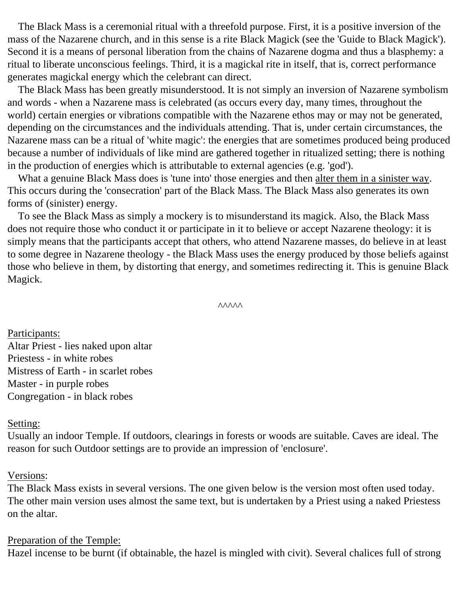The Black Mass is a ceremonial ritual with a threefold purpose. First, it is a positive inversion of the mass of the Nazarene church, and in this sense is a rite Black Magick (see the 'Guide to Black Magick'). Second it is a means of personal liberation from the chains of Nazarene dogma and thus a blasphemy: a ritual to liberate unconscious feelings. Third, it is a magickal rite in itself, that is, correct performance generates magickal energy which the celebrant can direct.

 The Black Mass has been greatly misunderstood. It is not simply an inversion of Nazarene symbolism and words - when a Nazarene mass is celebrated (as occurs every day, many times, throughout the world) certain energies or vibrations compatible with the Nazarene ethos may or may not be generated, depending on the circumstances and the individuals attending. That is, under certain circumstances, the Nazarene mass can be a ritual of 'white magic': the energies that are sometimes produced being produced because a number of individuals of like mind are gathered together in ritualized setting; there is nothing in the production of energies which is attributable to external agencies (e.g. 'god').

 What a genuine Black Mass does is 'tune into' those energies and then alter them in a sinister way. This occurs during the 'consecration' part of the Black Mass. The Black Mass also generates its own forms of (sinister) energy.

 To see the Black Mass as simply a mockery is to misunderstand its magick. Also, the Black Mass does not require those who conduct it or participate in it to believe or accept Nazarene theology: it is simply means that the participants accept that others, who attend Nazarene masses, do believe in at least to some degree in Nazarene theology - the Black Mass uses the energy produced by those beliefs against those who believe in them, by distorting that energy, and sometimes redirecting it. This is genuine Black Magick.

```
\wedge\wedge\wedge\wedge\wedge
```
Participants: Altar Priest - lies naked upon altar Priestess - in white robes Mistress of Earth - in scarlet robes Master - in purple robes Congregation - in black robes

#### Setting:

Usually an indoor Temple. If outdoors, clearings in forests or woods are suitable. Caves are ideal. The reason for such Outdoor settings are to provide an impression of 'enclosure'.

#### Versions:

The Black Mass exists in several versions. The one given below is the version most often used today. The other main version uses almost the same text, but is undertaken by a Priest using a naked Priestess on the altar.

#### Preparation of the Temple:

Hazel incense to be burnt (if obtainable, the hazel is mingled with civit). Several chalices full of strong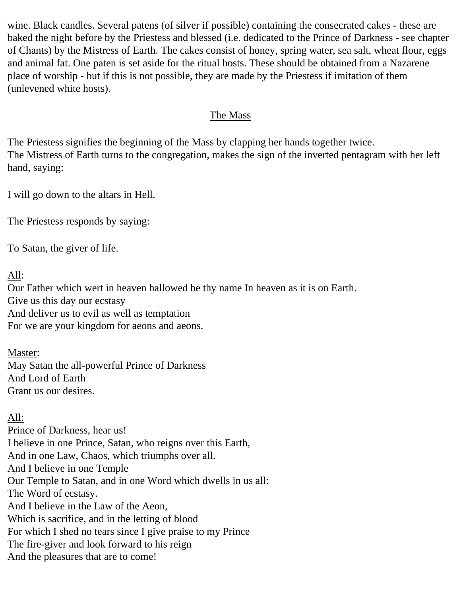wine. Black candles. Several patens (of silver if possible) containing the consecrated cakes - these are baked the night before by the Priestess and blessed (i.e. dedicated to the Prince of Darkness - see chapter of Chants) by the Mistress of Earth. The cakes consist of honey, spring water, sea salt, wheat flour, eggs and animal fat. One paten is set aside for the ritual hosts. These should be obtained from a Nazarene place of worship - but if this is not possible, they are made by the Priestess if imitation of them (unlevened white hosts).

## The Mass

The Priestess signifies the beginning of the Mass by clapping her hands together twice. The Mistress of Earth turns to the congregation, makes the sign of the inverted pentagram with her left hand, saying:

I will go down to the altars in Hell.

The Priestess responds by saying:

To Satan, the giver of life.

## All:

Our Father which wert in heaven hallowed be thy name In heaven as it is on Earth. Give us this day our ecstasy And deliver us to evil as well as temptation For we are your kingdom for aeons and aeons.

Master:

May Satan the all-powerful Prince of Darkness And Lord of Earth Grant us our desires.

## All:

Prince of Darkness, hear us! I believe in one Prince, Satan, who reigns over this Earth, And in one Law, Chaos, which triumphs over all. And I believe in one Temple Our Temple to Satan, and in one Word which dwells in us all: The Word of ecstasy. And I believe in the Law of the Aeon, Which is sacrifice, and in the letting of blood For which I shed no tears since I give praise to my Prince The fire-giver and look forward to his reign And the pleasures that are to come!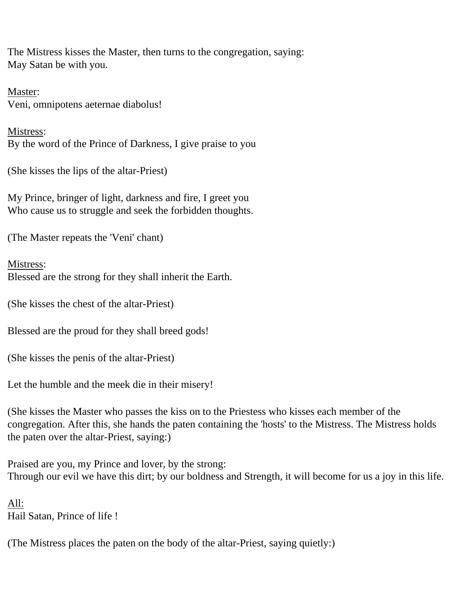The Mistress kisses the Master, then turns to the congregation, saying: May Satan be with you.

Master: Veni, omnipotens aeternae diabolus!

Mistress: By the word of the Prince of Darkness, I give praise to you

(She kisses the lips of the altar-Priest)

My Prince, bringer of light, darkness and fire, I greet you Who cause us to struggle and seek the forbidden thoughts.

(The Master repeats the 'Veni' chant)

Mistress: Blessed are the strong for they shall inherit the Earth.

(She kisses the chest of the altar-Priest)

Blessed are the proud for they shall breed gods!

(She kisses the penis of the altar-Priest)

Let the humble and the meek die in their misery!

(She kisses the Master who passes the kiss on to the Priestess who kisses each member of the congregation. After this, she hands the paten containing the 'hosts' to the Mistress. The Mistress holds the paten over the altar-Priest, saying:)

Praised are you, my Prince and lover, by the strong: Through our evil we have this dirt; by our boldness and Strength, it will become for us a joy in this life.

All: Hail Satan, Prince of life !

(The Mistress places the paten on the body of the altar-Priest, saying quietly:)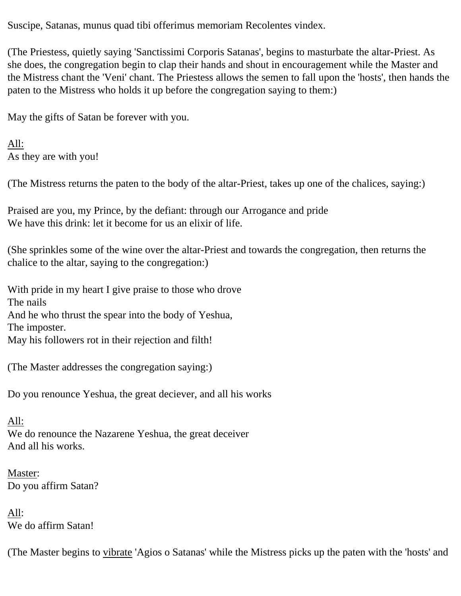Suscipe, Satanas, munus quad tibi offerimus memoriam Recolentes vindex.

(The Priestess, quietly saying 'Sanctissimi Corporis Satanas', begins to masturbate the altar-Priest. As she does, the congregation begin to clap their hands and shout in encouragement while the Master and the Mistress chant the 'Veni' chant. The Priestess allows the semen to fall upon the 'hosts', then hands the paten to the Mistress who holds it up before the congregation saying to them:)

May the gifts of Satan be forever with you.

All: As they are with you!

(The Mistress returns the paten to the body of the altar-Priest, takes up one of the chalices, saying:)

Praised are you, my Prince, by the defiant: through our Arrogance and pride We have this drink: let it become for us an elixir of life.

(She sprinkles some of the wine over the altar-Priest and towards the congregation, then returns the chalice to the altar, saying to the congregation:)

With pride in my heart I give praise to those who drove The nails And he who thrust the spear into the body of Yeshua, The imposter. May his followers rot in their rejection and filth!

(The Master addresses the congregation saying:)

Do you renounce Yeshua, the great deciever, and all his works

All: We do renounce the Nazarene Yeshua, the great deceiver And all his works.

Master: Do you affirm Satan?

All: We do affirm Satan!

(The Master begins to vibrate 'Agios o Satanas' while the Mistress picks up the paten with the 'hosts' and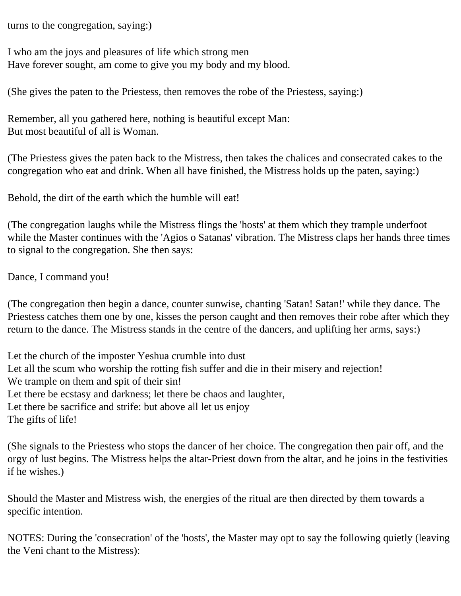turns to the congregation, saying:)

I who am the joys and pleasures of life which strong men Have forever sought, am come to give you my body and my blood.

(She gives the paten to the Priestess, then removes the robe of the Priestess, saying:)

Remember, all you gathered here, nothing is beautiful except Man: But most beautiful of all is Woman.

(The Priestess gives the paten back to the Mistress, then takes the chalices and consecrated cakes to the congregation who eat and drink. When all have finished, the Mistress holds up the paten, saying:)

Behold, the dirt of the earth which the humble will eat!

(The congregation laughs while the Mistress flings the 'hosts' at them which they trample underfoot while the Master continues with the 'Agios o Satanas' vibration. The Mistress claps her hands three times to signal to the congregation. She then says:

Dance, I command you!

(The congregation then begin a dance, counter sunwise, chanting 'Satan! Satan!' while they dance. The Priestess catches them one by one, kisses the person caught and then removes their robe after which they return to the dance. The Mistress stands in the centre of the dancers, and uplifting her arms, says:)

Let the church of the imposter Yeshua crumble into dust Let all the scum who worship the rotting fish suffer and die in their misery and rejection! We trample on them and spit of their sin! Let there be ecstasy and darkness; let there be chaos and laughter, Let there be sacrifice and strife: but above all let us enjoy The gifts of life!

(She signals to the Priestess who stops the dancer of her choice. The congregation then pair off, and the orgy of lust begins. The Mistress helps the altar-Priest down from the altar, and he joins in the festivities if he wishes.)

Should the Master and Mistress wish, the energies of the ritual are then directed by them towards a specific intention.

NOTES: During the 'consecration' of the 'hosts', the Master may opt to say the following quietly (leaving the Veni chant to the Mistress):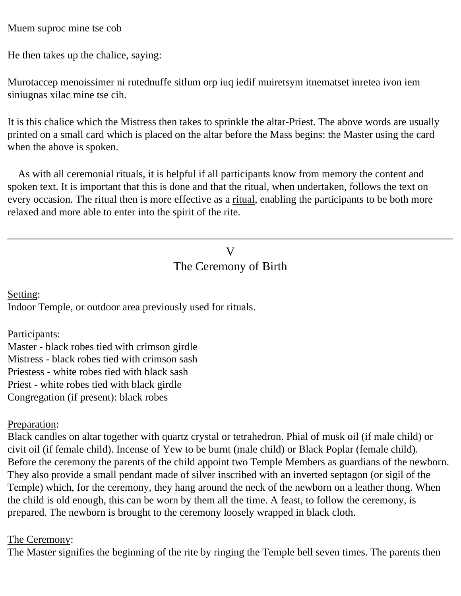Muem suproc mine tse cob

He then takes up the chalice, saying:

Murotaccep menoissimer ni rutednuffe sitlum orp iuq iedif muiretsym itnematset inretea ivon iem siniugnas xilac mine tse cih.

It is this chalice which the Mistress then takes to sprinkle the altar-Priest. The above words are usually printed on a small card which is placed on the altar before the Mass begins: the Master using the card when the above is spoken.

 As with all ceremonial rituals, it is helpful if all participants know from memory the content and spoken text. It is important that this is done and that the ritual, when undertaken, follows the text on every occasion. The ritual then is more effective as a ritual, enabling the participants to be both more relaxed and more able to enter into the spirit of the rite.

# V The Ceremony of Birth

<span id="page-12-0"></span>Setting:

Indoor Temple, or outdoor area previously used for rituals.

Participants:

Master - black robes tied with crimson girdle Mistress - black robes tied with crimson sash Priestess - white robes tied with black sash Priest - white robes tied with black girdle Congregation (if present): black robes

#### Preparation:

Black candles on altar together with quartz crystal or tetrahedron. Phial of musk oil (if male child) or civit oil (if female child). Incense of Yew to be burnt (male child) or Black Poplar (female child). Before the ceremony the parents of the child appoint two Temple Members as guardians of the newborn. They also provide a small pendant made of silver inscribed with an inverted septagon (or sigil of the Temple) which, for the ceremony, they hang around the neck of the newborn on a leather thong. When the child is old enough, this can be worn by them all the time. A feast, to follow the ceremony, is prepared. The newborn is brought to the ceremony loosely wrapped in black cloth.

#### The Ceremony:

The Master signifies the beginning of the rite by ringing the Temple bell seven times. The parents then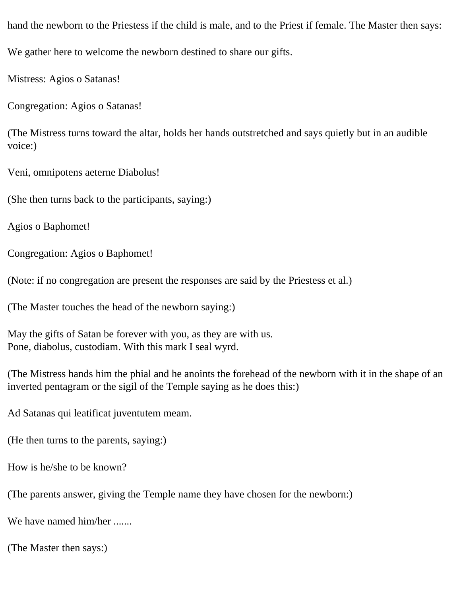hand the newborn to the Priestess if the child is male, and to the Priest if female. The Master then says: We gather here to welcome the newborn destined to share our gifts.

Mistress: Agios o Satanas!

Congregation: Agios o Satanas!

(The Mistress turns toward the altar, holds her hands outstretched and says quietly but in an audible voice:)

Veni, omnipotens aeterne Diabolus!

(She then turns back to the participants, saying:)

Agios o Baphomet!

Congregation: Agios o Baphomet!

(Note: if no congregation are present the responses are said by the Priestess et al.)

(The Master touches the head of the newborn saying:)

May the gifts of Satan be forever with you, as they are with us. Pone, diabolus, custodiam. With this mark I seal wyrd.

(The Mistress hands him the phial and he anoints the forehead of the newborn with it in the shape of an inverted pentagram or the sigil of the Temple saying as he does this:)

Ad Satanas qui leatificat juventutem meam.

(He then turns to the parents, saying:)

How is he/she to be known?

(The parents answer, giving the Temple name they have chosen for the newborn:)

We have named him/her .......

(The Master then says:)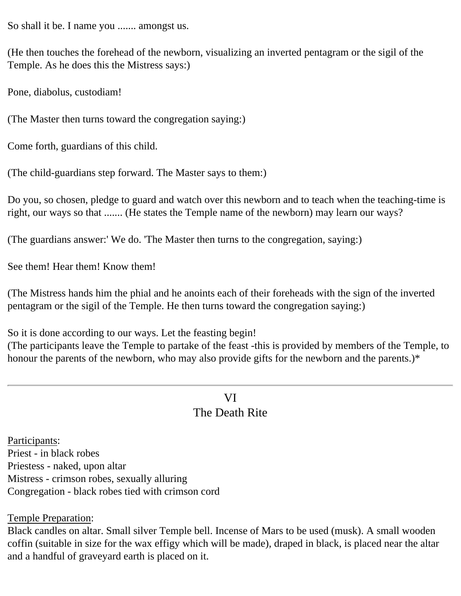So shall it be. I name you ....... amongst us.

(He then touches the forehead of the newborn, visualizing an inverted pentagram or the sigil of the Temple. As he does this the Mistress says:)

Pone, diabolus, custodiam!

(The Master then turns toward the congregation saying:)

Come forth, guardians of this child.

(The child-guardians step forward. The Master says to them:)

Do you, so chosen, pledge to guard and watch over this newborn and to teach when the teaching-time is right, our ways so that ....... (He states the Temple name of the newborn) may learn our ways?

(The guardians answer:' We do. 'The Master then turns to the congregation, saying:)

See them! Hear them! Know them!

(The Mistress hands him the phial and he anoints each of their foreheads with the sign of the inverted pentagram or the sigil of the Temple. He then turns toward the congregation saying:)

So it is done according to our ways. Let the feasting begin!

<span id="page-14-0"></span>(The participants leave the Temple to partake of the feast -this is provided by members of the Temple, to honour the parents of the newborn, who may also provide gifts for the newborn and the parents.)\*

# VI The Death Rite

Participants: Priest - in black robes Priestess - naked, upon altar Mistress - crimson robes, sexually alluring Congregation - black robes tied with crimson cord

Temple Preparation:

Black candles on altar. Small silver Temple bell. Incense of Mars to be used (musk). A small wooden coffin (suitable in size for the wax effigy which will be made), draped in black, is placed near the altar and a handful of graveyard earth is placed on it.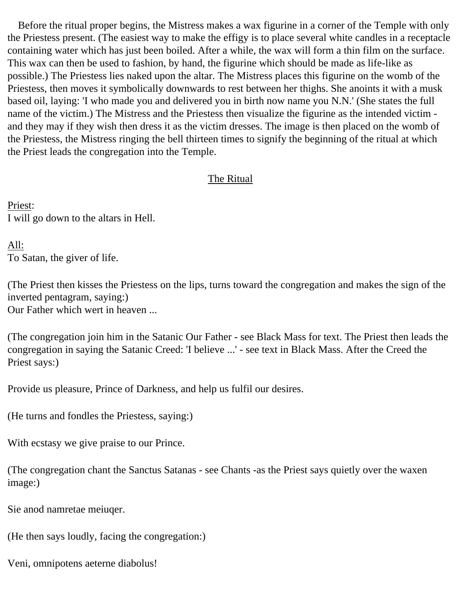Before the ritual proper begins, the Mistress makes a wax figurine in a corner of the Temple with only the Priestess present. (The easiest way to make the effigy is to place several white candles in a receptacle containing water which has just been boiled. After a while, the wax will form a thin film on the surface. This wax can then be used to fashion, by hand, the figurine which should be made as life-like as possible.) The Priestess lies naked upon the altar. The Mistress places this figurine on the womb of the Priestess, then moves it symbolically downwards to rest between her thighs. She anoints it with a musk based oil, laying: 'I who made you and delivered you in birth now name you N.N.' (She states the full name of the victim.) The Mistress and the Priestess then visualize the figurine as the intended victim and they may if they wish then dress it as the victim dresses. The image is then placed on the womb of the Priestess, the Mistress ringing the bell thirteen times to signify the beginning of the ritual at which the Priest leads the congregation into the Temple.

## The Ritual

Priest: I will go down to the altars in Hell.

All: To Satan, the giver of life.

(The Priest then kisses the Priestess on the lips, turns toward the congregation and makes the sign of the inverted pentagram, saying:) Our Father which wert in heaven ...

(The congregation join him in the Satanic Our Father - see Black Mass for text. The Priest then leads the congregation in saying the Satanic Creed: 'I believe ...' - see text in Black Mass. After the Creed the Priest says:)

Provide us pleasure, Prince of Darkness, and help us fulfil our desires.

(He turns and fondles the Priestess, saying:)

With ecstasy we give praise to our Prince.

(The congregation chant the Sanctus Satanas - see Chants -as the Priest says quietly over the waxen image:)

Sie anod namretae meiuqer.

(He then says loudly, facing the congregation:)

Veni, omnipotens aeterne diabolus!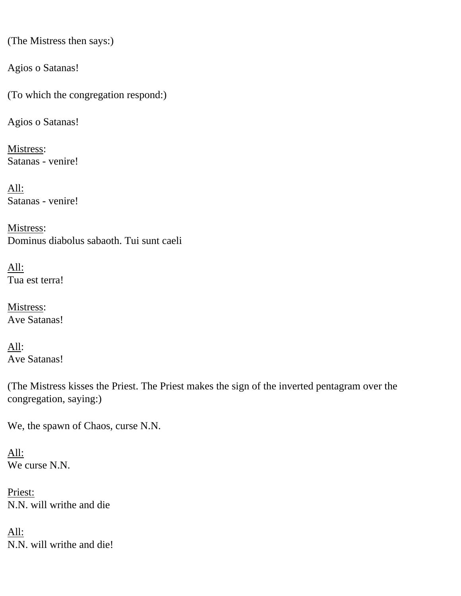(The Mistress then says:)

Agios o Satanas!

(To which the congregation respond:)

Agios o Satanas!

Mistress: Satanas - venire!

All: Satanas - venire!

Mistress: Dominus diabolus sabaoth. Tui sunt caeli

All: Tua est terra!

Mistress: Ave Satanas!

All: Ave Satanas!

(The Mistress kisses the Priest. The Priest makes the sign of the inverted pentagram over the congregation, saying:)

We, the spawn of Chaos, curse N.N.

All: We curse N.N.

Priest: N.N. will writhe and die

All: N.N. will writhe and die!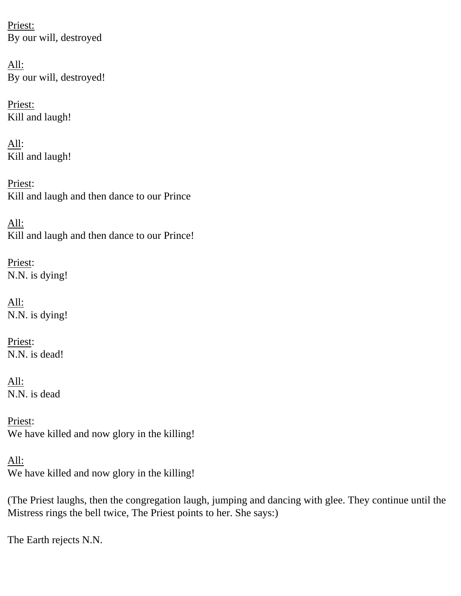Priest: By our will, destroyed

All: By our will, destroyed!

Priest: Kill and laugh!

All: Kill and laugh!

Priest: Kill and laugh and then dance to our Prince

All: Kill and laugh and then dance to our Prince!

Priest: N.N. is dying!

All: N.N. is dying!

Priest: N.N. is dead!

All: N.N. is dead

Priest: We have killed and now glory in the killing!

All: We have killed and now glory in the killing!

(The Priest laughs, then the congregation laugh, jumping and dancing with glee. They continue until the Mistress rings the bell twice, The Priest points to her. She says:)

The Earth rejects N.N.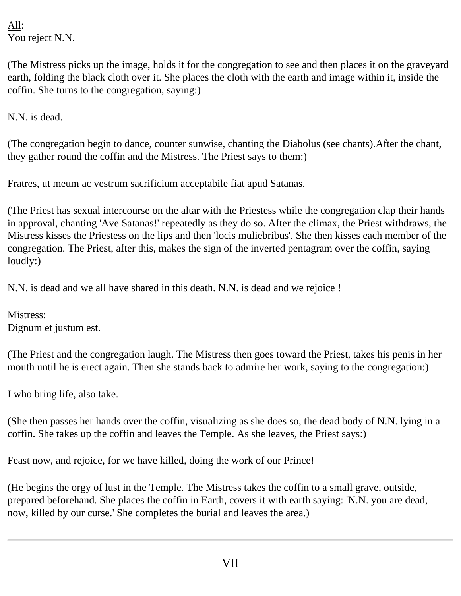All: You reject N.N.

(The Mistress picks up the image, holds it for the congregation to see and then places it on the graveyard earth, folding the black cloth over it. She places the cloth with the earth and image within it, inside the coffin. She turns to the congregation, saying:)

N.N. is dead.

(The congregation begin to dance, counter sunwise, chanting the Diabolus (see chants).After the chant, they gather round the coffin and the Mistress. The Priest says to them:)

Fratres, ut meum ac vestrum sacrificium acceptabile fiat apud Satanas.

(The Priest has sexual intercourse on the altar with the Priestess while the congregation clap their hands in approval, chanting 'Ave Satanas!' repeatedly as they do so. After the climax, the Priest withdraws, the Mistress kisses the Priestess on the lips and then 'locis muliebribus'. She then kisses each member of the congregation. The Priest, after this, makes the sign of the inverted pentagram over the coffin, saying loudly:)

N.N. is dead and we all have shared in this death. N.N. is dead and we rejoice !

Mistress: Dignum et justum est.

(The Priest and the congregation laugh. The Mistress then goes toward the Priest, takes his penis in her mouth until he is erect again. Then she stands back to admire her work, saying to the congregation:)

I who bring life, also take.

(She then passes her hands over the coffin, visualizing as she does so, the dead body of N.N. lying in a coffin. She takes up the coffin and leaves the Temple. As she leaves, the Priest says:)

Feast now, and rejoice, for we have killed, doing the work of our Prince!

<span id="page-18-0"></span>(He begins the orgy of lust in the Temple. The Mistress takes the coffin to a small grave, outside, prepared beforehand. She places the coffin in Earth, covers it with earth saying: 'N.N. you are dead, now, killed by our curse.' She completes the burial and leaves the area.)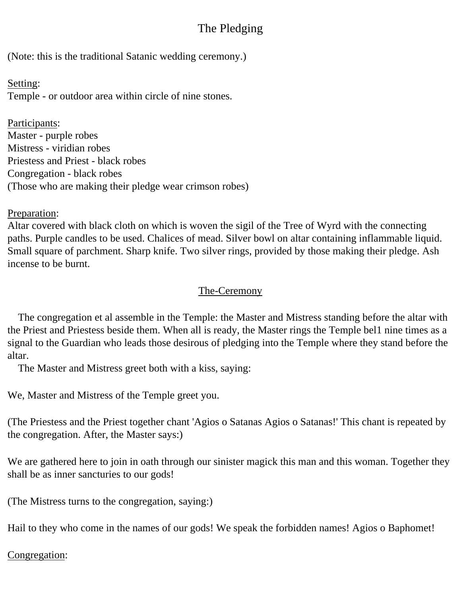# The Pledging

(Note: this is the traditional Satanic wedding ceremony.)

Setting: Temple - or outdoor area within circle of nine stones.

Participants: Master - purple robes Mistress - viridian robes Priestess and Priest - black robes Congregation - black robes (Those who are making their pledge wear crimson robes)

Preparation:

Altar covered with black cloth on which is woven the sigil of the Tree of Wyrd with the connecting paths. Purple candles to be used. Chalices of mead. Silver bowl on altar containing inflammable liquid. Small square of parchment. Sharp knife. Two silver rings, provided by those making their pledge. Ash incense to be burnt.

## The-Ceremony

 The congregation et al assemble in the Temple: the Master and Mistress standing before the altar with the Priest and Priestess beside them. When all is ready, the Master rings the Temple bel1 nine times as a signal to the Guardian who leads those desirous of pledging into the Temple where they stand before the altar.

The Master and Mistress greet both with a kiss, saying:

We, Master and Mistress of the Temple greet you.

(The Priestess and the Priest together chant 'Agios o Satanas Agios o Satanas!' This chant is repeated by the congregation. After, the Master says:)

We are gathered here to join in oath through our sinister magick this man and this woman. Together they shall be as inner sancturies to our gods!

(The Mistress turns to the congregation, saying:)

Hail to they who come in the names of our gods! We speak the forbidden names! Agios o Baphomet!

## Congregation: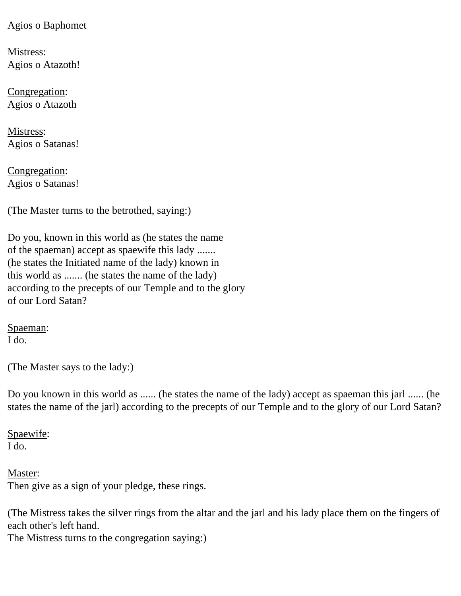Agios o Baphomet

Mistress: Agios o Atazoth!

Congregation: Agios o Atazoth

Mistress: Agios o Satanas!

Congregation: Agios o Satanas!

(The Master turns to the betrothed, saying:)

Do you, known in this world as (he states the name of the spaeman) accept as spaewife this lady ....... (he states the Initiated name of the lady) known in this world as ....... (he states the name of the lady) according to the precepts of our Temple and to the glory of our Lord Satan?

Spaeman: I do.

(The Master says to the lady:)

Do you known in this world as ...... (he states the name of the lady) accept as spaeman this jarl ...... (he states the name of the jarl) according to the precepts of our Temple and to the glory of our Lord Satan?

Spaewife: I do.

Master: Then give as a sign of your pledge, these rings.

(The Mistress takes the silver rings from the altar and the jarl and his lady place them on the fingers of each other's left hand.

The Mistress turns to the congregation saying:)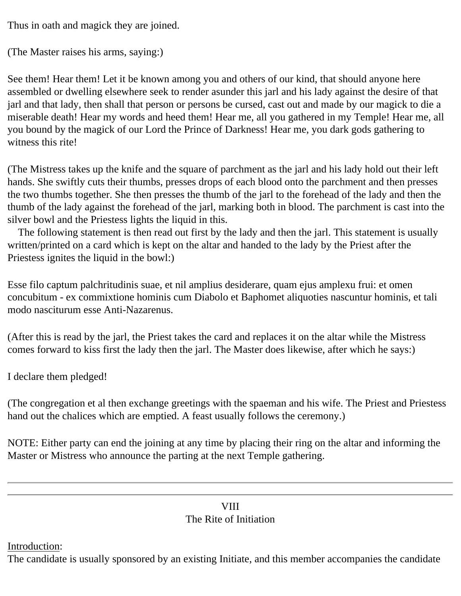Thus in oath and magick they are joined.

```
(The Master raises his arms, saying:)
```
See them! Hear them! Let it be known among you and others of our kind, that should anyone here assembled or dwelling elsewhere seek to render asunder this jarl and his lady against the desire of that jarl and that lady, then shall that person or persons be cursed, cast out and made by our magick to die a miserable death! Hear my words and heed them! Hear me, all you gathered in my Temple! Hear me, all you bound by the magick of our Lord the Prince of Darkness! Hear me, you dark gods gathering to witness this rite!

(The Mistress takes up the knife and the square of parchment as the jarl and his lady hold out their left hands. She swiftly cuts their thumbs, presses drops of each blood onto the parchment and then presses the two thumbs together. She then presses the thumb of the jarl to the forehead of the lady and then the thumb of the lady against the forehead of the jarl, marking both in blood. The parchment is cast into the silver bowl and the Priestess lights the liquid in this.

 The following statement is then read out first by the lady and then the jarl. This statement is usually written/printed on a card which is kept on the altar and handed to the lady by the Priest after the Priestess ignites the liquid in the bowl:)

Esse filo captum palchritudinis suae, et nil amplius desiderare, quam ejus amplexu frui: et omen concubitum - ex commixtione hominis cum Diabolo et Baphomet aliquoties nascuntur hominis, et tali modo nasciturum esse Anti-Nazarenus.

(After this is read by the jarl, the Priest takes the card and replaces it on the altar while the Mistress comes forward to kiss first the lady then the jarl. The Master does likewise, after which he says:)

I declare them pledged!

(The congregation et al then exchange greetings with the spaeman and his wife. The Priest and Priestess hand out the chalices which are emptied. A feast usually follows the ceremony.)

NOTE: Either party can end the joining at any time by placing their ring on the altar and informing the Master or Mistress who announce the parting at the next Temple gathering.

## **VIII** The Rite of Initiation

<span id="page-21-0"></span>Introduction:

The candidate is usually sponsored by an existing Initiate, and this member accompanies the candidate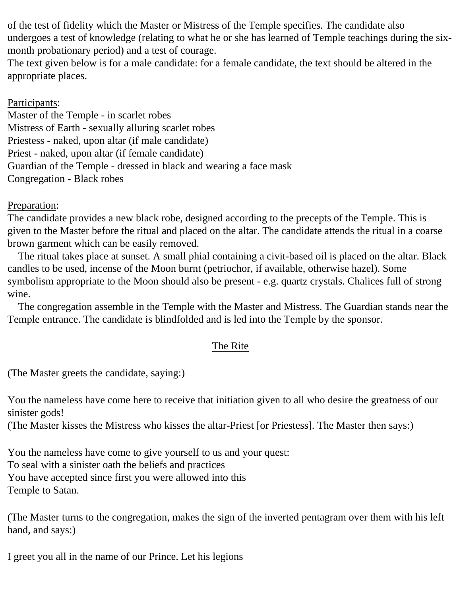of the test of fidelity which the Master or Mistress of the Temple specifies. The candidate also undergoes a test of knowledge (relating to what he or she has learned of Temple teachings during the sixmonth probationary period) and a test of courage.

The text given below is for a male candidate: for a female candidate, the text should be altered in the appropriate places.

## Participants:

Master of the Temple - in scarlet robes Mistress of Earth - sexually alluring scarlet robes Priestess - naked, upon altar (if male candidate) Priest - naked, upon altar (if female candidate) Guardian of the Temple - dressed in black and wearing a face mask Congregation - Black robes

#### Preparation:

The candidate provides a new black robe, designed according to the precepts of the Temple. This is given to the Master before the ritual and placed on the altar. The candidate attends the ritual in a coarse brown garment which can be easily removed.

 The ritual takes place at sunset. A small phial containing a civit-based oil is placed on the altar. Black candles to be used, incense of the Moon burnt (petriochor, if available, otherwise hazel). Some symbolism appropriate to the Moon should also be present - e.g. quartz crystals. Chalices full of strong wine.

 The congregation assemble in the Temple with the Master and Mistress. The Guardian stands near the Temple entrance. The candidate is blindfolded and is led into the Temple by the sponsor.

#### The Rite

(The Master greets the candidate, saying:)

You the nameless have come here to receive that initiation given to all who desire the greatness of our sinister gods!

(The Master kisses the Mistress who kisses the altar-Priest [or Priestess]. The Master then says:)

You the nameless have come to give yourself to us and your quest: To seal with a sinister oath the beliefs and practices You have accepted since first you were allowed into this Temple to Satan.

(The Master turns to the congregation, makes the sign of the inverted pentagram over them with his left hand, and says:)

I greet you all in the name of our Prince. Let his legions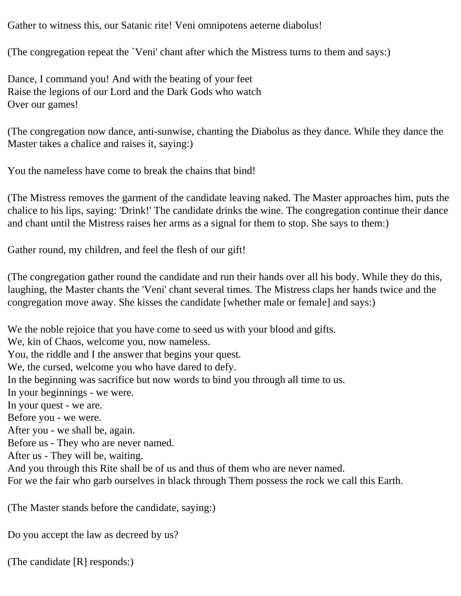Gather to witness this, our Satanic rite! Veni omnipotens aeterne diabolus!

(The congregation repeat the `Veni' chant after which the Mistress turns to them and says:)

Dance, I command you! And with the beating of your feet Raise the legions of our Lord and the Dark Gods who watch Over our games!

(The congregation now dance, anti-sunwise, chanting the Diabolus as they dance. While they dance the Master takes a chalice and raises it, saying:)

You the nameless have come to break the chains that bind!

(The Mistress removes the garment of the candidate leaving naked. The Master approaches him, puts the chalice to his lips, saying: 'Drink!' The candidate drinks the wine. The congregation continue their dance and chant until the Mistress raises her arms as a signal for them to stop. She says to them:)

Gather round, my children, and feel the flesh of our gift!

(The congregation gather round the candidate and run their hands over all his body. While they do this, laughing, the Master chants the 'Veni' chant several times. The Mistress claps her hands twice and the congregation move away. She kisses the candidate [whether male or female] and says:)

We the noble rejoice that you have come to seed us with your blood and gifts.

We, kin of Chaos, welcome you, now nameless.

You, the riddle and I the answer that begins your quest.

We, the cursed, welcome you who have dared to defy.

In the beginning was sacrifice but now words to bind you through all time to us.

In your beginnings - we were.

In your quest - we are.

Before you - we were.

After you - we shall be, again.

Before us - They who are never named.

After us - They will be, waiting.

And you through this Rite shall be of us and thus of them who are never named.

For we the fair who garb ourselves in black through Them possess the rock we call this Earth.

(The Master stands before the candidate, saying:)

Do you accept the law as decreed by us?

(The candidate [R] responds:)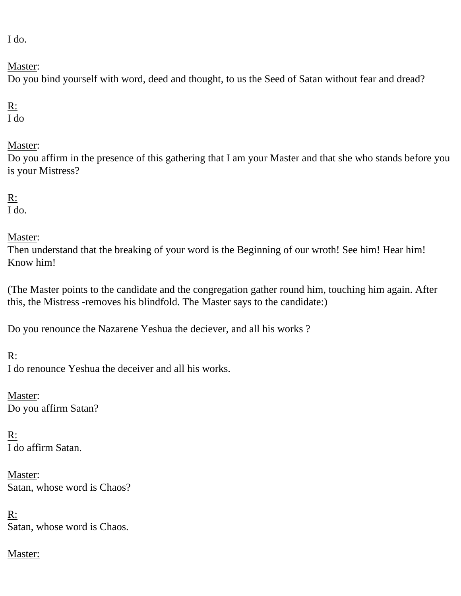I do.

Master:

Do you bind yourself with word, deed and thought, to us the Seed of Satan without fear and dread?

R: I do

## Master:

Do you affirm in the presence of this gathering that I am your Master and that she who stands before you is your Mistress?

R: I do.

Master:

Then understand that the breaking of your word is the Beginning of our wroth! See him! Hear him! Know him!

(The Master points to the candidate and the congregation gather round him, touching him again. After this, the Mistress -removes his blindfold. The Master says to the candidate:)

Do you renounce the Nazarene Yeshua the deciever, and all his works ?

R:

I do renounce Yeshua the deceiver and all his works.

Master: Do you affirm Satan?

R: I do affirm Satan.

Master: Satan, whose word is Chaos?

R: Satan, whose word is Chaos.

Master: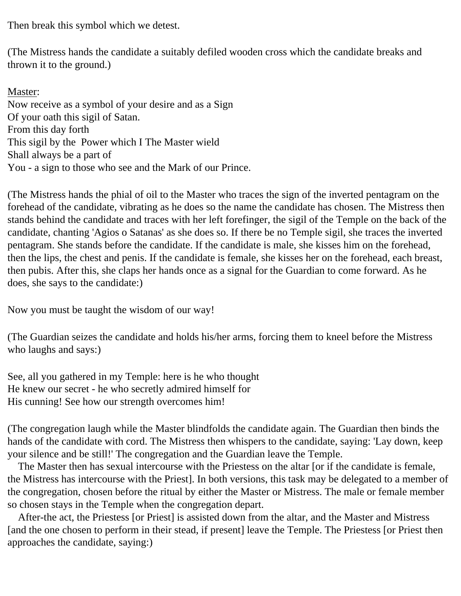Then break this symbol which we detest.

(The Mistress hands the candidate a suitably defiled wooden cross which the candidate breaks and thrown it to the ground.)

Master: Now receive as a symbol of your desire and as a Sign Of your oath this sigil of Satan. From this day forth This sigil by the Power which I The Master wield Shall always be a part of You - a sign to those who see and the Mark of our Prince.

(The Mistress hands the phial of oil to the Master who traces the sign of the inverted pentagram on the forehead of the candidate, vibrating as he does so the name the candidate has chosen. The Mistress then stands behind the candidate and traces with her left forefinger, the sigil of the Temple on the back of the candidate, chanting 'Agios o Satanas' as she does so. If there be no Temple sigil, she traces the inverted pentagram. She stands before the candidate. If the candidate is male, she kisses him on the forehead, then the lips, the chest and penis. If the candidate is female, she kisses her on the forehead, each breast, then pubis. After this, she claps her hands once as a signal for the Guardian to come forward. As he does, she says to the candidate:)

Now you must be taught the wisdom of our way!

(The Guardian seizes the candidate and holds his/her arms, forcing them to kneel before the Mistress who laughs and says:)

See, all you gathered in my Temple: here is he who thought He knew our secret - he who secretly admired himself for His cunning! See how our strength overcomes him!

(The congregation laugh while the Master blindfolds the candidate again. The Guardian then binds the hands of the candidate with cord. The Mistress then whispers to the candidate, saying: 'Lay down, keep your silence and be still!' The congregation and the Guardian leave the Temple.

 The Master then has sexual intercourse with the Priestess on the altar [or if the candidate is female, the Mistress has intercourse with the Priest]. In both versions, this task may be delegated to a member of the congregation, chosen before the ritual by either the Master or Mistress. The male or female member so chosen stays in the Temple when the congregation depart.

 After-the act, the Priestess [or Priest] is assisted down from the altar, and the Master and Mistress [and the one chosen to perform in their stead, if present] leave the Temple. The Priestess [or Priest then approaches the candidate, saying:)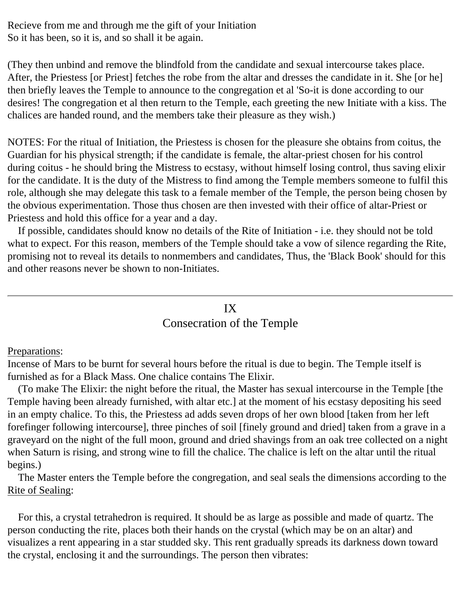Recieve from me and through me the gift of your Initiation So it has been, so it is, and so shall it be again.

(They then unbind and remove the blindfold from the candidate and sexual intercourse takes place. After, the Priestess [or Priest] fetches the robe from the altar and dresses the candidate in it. She [or he] then briefly leaves the Temple to announce to the congregation et al 'So-it is done according to our desires! The congregation et al then return to the Temple, each greeting the new Initiate with a kiss. The chalices are handed round, and the members take their pleasure as they wish.)

NOTES: For the ritual of Initiation, the Priestess is chosen for the pleasure she obtains from coitus, the Guardian for his physical strength; if the candidate is female, the altar-priest chosen for his control during coitus - he should bring the Mistress to ecstasy, without himself losing control, thus saving elixir for the candidate. It is the duty of the Mistress to find among the Temple members someone to fulfil this role, although she may delegate this task to a female member of the Temple, the person being chosen by the obvious experimentation. Those thus chosen are then invested with their office of altar-Priest or Priestess and hold this office for a year and a day.

 If possible, candidates should know no details of the Rite of Initiation - i.e. they should not be told what to expect. For this reason, members of the Temple should take a vow of silence regarding the Rite, promising not to reveal its details to nonmembers and candidates, Thus, the 'Black Book' should for this and other reasons never be shown to non-Initiates.

# IX

# Consecration of the Temple

#### <span id="page-26-0"></span>Preparations:

Incense of Mars to be burnt for several hours before the ritual is due to begin. The Temple itself is furnished as for a Black Mass. One chalice contains The Elixir.

 (To make The Elixir: the night before the ritual, the Master has sexual intercourse in the Temple [the Temple having been already furnished, with altar etc.] at the moment of his ecstasy depositing his seed in an empty chalice. To this, the Priestess ad adds seven drops of her own blood [taken from her left forefinger following intercourse], three pinches of soil [finely ground and dried] taken from a grave in a graveyard on the night of the full moon, ground and dried shavings from an oak tree collected on a night when Saturn is rising, and strong wine to fill the chalice. The chalice is left on the altar until the ritual begins.)

 The Master enters the Temple before the congregation, and seal seals the dimensions according to the Rite of Sealing:

 For this, a crystal tetrahedron is required. It should be as large as possible and made of quartz. The person conducting the rite, places both their hands on the crystal (which may be on an altar) and visualizes a rent appearing in a star studded sky. This rent gradually spreads its darkness down toward the crystal, enclosing it and the surroundings. The person then vibrates: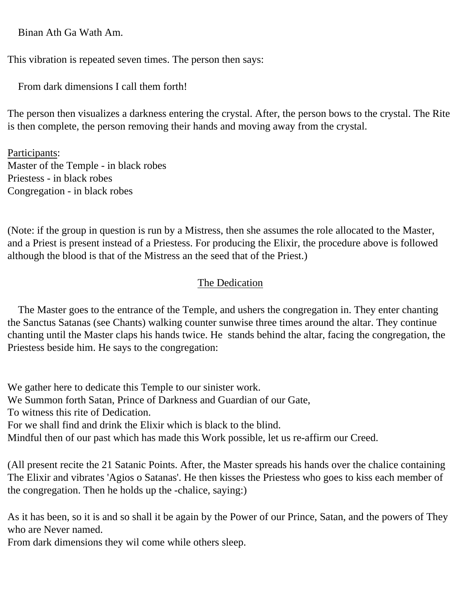Binan Ath Ga Wath Am.

This vibration is repeated seven times. The person then says:

From dark dimensions I call them forth!

The person then visualizes a darkness entering the crystal. After, the person bows to the crystal. The Rite is then complete, the person removing their hands and moving away from the crystal.

Participants: Master of the Temple - in black robes Priestess - in black robes Congregation - in black robes

(Note: if the group in question is run by a Mistress, then she assumes the role allocated to the Master, and a Priest is present instead of a Priestess. For producing the Elixir, the procedure above is followed although the blood is that of the Mistress an the seed that of the Priest.)

## The Dedication

 The Master goes to the entrance of the Temple, and ushers the congregation in. They enter chanting the Sanctus Satanas (see Chants) walking counter sunwise three times around the altar. They continue chanting until the Master claps his hands twice. He stands behind the altar, facing the congregation, the Priestess beside him. He says to the congregation:

We gather here to dedicate this Temple to our sinister work. We Summon forth Satan, Prince of Darkness and Guardian of our Gate, To witness this rite of Dedication. For we shall find and drink the Elixir which is black to the blind. Mindful then of our past which has made this Work possible, let us re-affirm our Creed.

(All present recite the 21 Satanic Points. After, the Master spreads his hands over the chalice containing The Elixir and vibrates 'Agios o Satanas'. He then kisses the Priestess who goes to kiss each member of the congregation. Then he holds up the -chalice, saying:)

As it has been, so it is and so shall it be again by the Power of our Prince, Satan, and the powers of They who are Never named.

From dark dimensions they wil come while others sleep.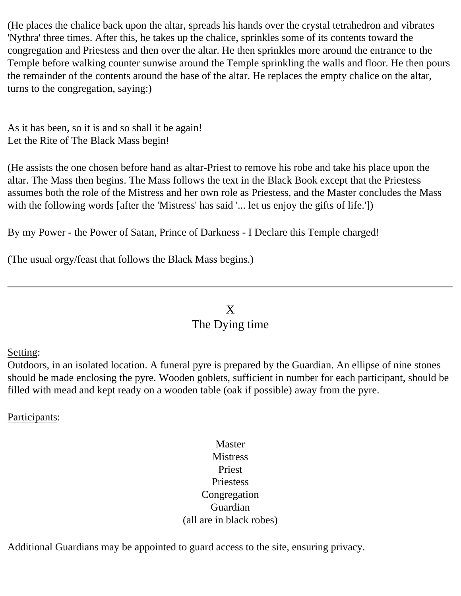(He places the chalice back upon the altar, spreads his hands over the crystal tetrahedron and vibrates 'Nythra' three times. After this, he takes up the chalice, sprinkles some of its contents toward the congregation and Priestess and then over the altar. He then sprinkles more around the entrance to the Temple before walking counter sunwise around the Temple sprinkling the walls and floor. He then pours the remainder of the contents around the base of the altar. He replaces the empty chalice on the altar, turns to the congregation, saying:)

As it has been, so it is and so shall it be again! Let the Rite of The Black Mass begin!

(He assists the one chosen before hand as altar-Priest to remove his robe and take his place upon the altar. The Mass then begins. The Mass follows the text in the Black Book except that the Priestess assumes both the role of the Mistress and her own role as Priestess, and the Master concludes the Mass with the following words [after the 'Mistress' has said '... let us enjoy the gifts of life.'])

By my Power - the Power of Satan, Prince of Darkness - I Declare this Temple charged!

(The usual orgy/feast that follows the Black Mass begins.)

## X

## The Dying time

<span id="page-28-0"></span>Setting:

Outdoors, in an isolated location. A funeral pyre is prepared by the Guardian. An ellipse of nine stones should be made enclosing the pyre. Wooden goblets, sufficient in number for each participant, should be filled with mead and kept ready on a wooden table (oak if possible) away from the pyre.

Participants:

## Master **Mistress** Priest Priestess Congregation Guardian (all are in black robes)

Additional Guardians may be appointed to guard access to the site, ensuring privacy.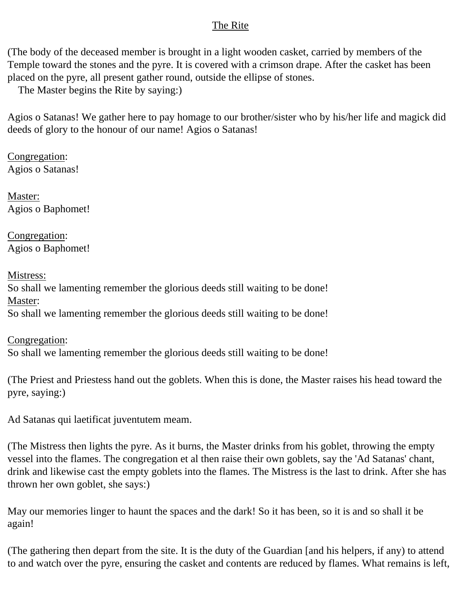#### The Rite

(The body of the deceased member is brought in a light wooden casket, carried by members of the Temple toward the stones and the pyre. It is covered with a crimson drape. After the casket has been placed on the pyre, all present gather round, outside the ellipse of stones.

The Master begins the Rite by saying:)

Agios o Satanas! We gather here to pay homage to our brother/sister who by his/her life and magick did deeds of glory to the honour of our name! Agios o Satanas!

Congregation: Agios o Satanas!

Master: Agios o Baphomet!

Congregation: Agios o Baphomet!

Mistress: So shall we lamenting remember the glorious deeds still waiting to be done! Master: So shall we lamenting remember the glorious deeds still waiting to be done!

Congregation: So shall we lamenting remember the glorious deeds still waiting to be done!

(The Priest and Priestess hand out the goblets. When this is done, the Master raises his head toward the pyre, saying:)

Ad Satanas qui laetificat juventutem meam.

(The Mistress then lights the pyre. As it burns, the Master drinks from his goblet, throwing the empty vessel into the flames. The congregation et al then raise their own goblets, say the 'Ad Satanas' chant, drink and likewise cast the empty goblets into the flames. The Mistress is the last to drink. After she has thrown her own goblet, she says:)

May our memories linger to haunt the spaces and the dark! So it has been, so it is and so shall it be again!

(The gathering then depart from the site. It is the duty of the Guardian [and his helpers, if any) to attend to and watch over the pyre, ensuring the casket and contents are reduced by flames. What remains is left,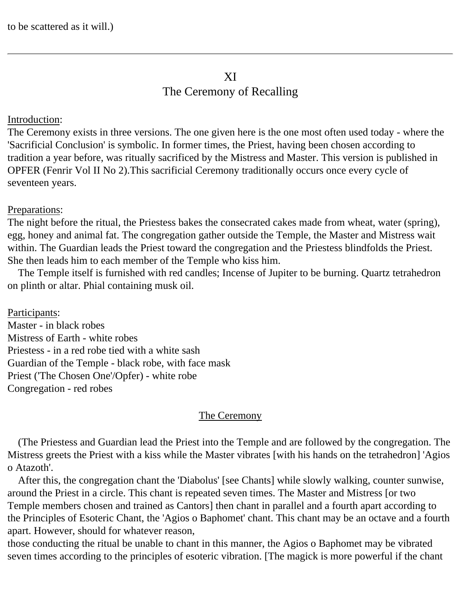# XI

## The Ceremony of Recalling

#### <span id="page-30-0"></span>Introduction:

The Ceremony exists in three versions. The one given here is the one most often used today - where the 'Sacrificial Conclusion' is symbolic. In former times, the Priest, having been chosen according to tradition a year before, was ritually sacrificed by the Mistress and Master. This version is published in OPFER (Fenrir Vol II No 2).This sacrificial Ceremony traditionally occurs once every cycle of seventeen years.

## Preparations:

The night before the ritual, the Priestess bakes the consecrated cakes made from wheat, water (spring), egg, honey and animal fat. The congregation gather outside the Temple, the Master and Mistress wait within. The Guardian leads the Priest toward the congregation and the Priestess blindfolds the Priest. She then leads him to each member of the Temple who kiss him.

 The Temple itself is furnished with red candles; Incense of Jupiter to be burning. Quartz tetrahedron on plinth or altar. Phial containing musk oil.

Participants: Master - in black robes Mistress of Earth - white robes Priestess - in a red robe tied with a white sash Guardian of the Temple - black robe, with face mask Priest ('The Chosen One'/Opfer) - white robe Congregation - red robes

## The Ceremony

 (The Priestess and Guardian lead the Priest into the Temple and are followed by the congregation. The Mistress greets the Priest with a kiss while the Master vibrates [with his hands on the tetrahedron] 'Agios o Atazoth'.

 After this, the congregation chant the 'Diabolus' [see Chants] while slowly walking, counter sunwise, around the Priest in a circle. This chant is repeated seven times. The Master and Mistress [or two Temple members chosen and trained as Cantors] then chant in parallel and a fourth apart according to the Principles of Esoteric Chant, the 'Agios o Baphomet' chant. This chant may be an octave and a fourth apart. However, should for whatever reason,

those conducting the ritual be unable to chant in this manner, the Agios o Baphomet may be vibrated seven times according to the principles of esoteric vibration. [The magick is more powerful if the chant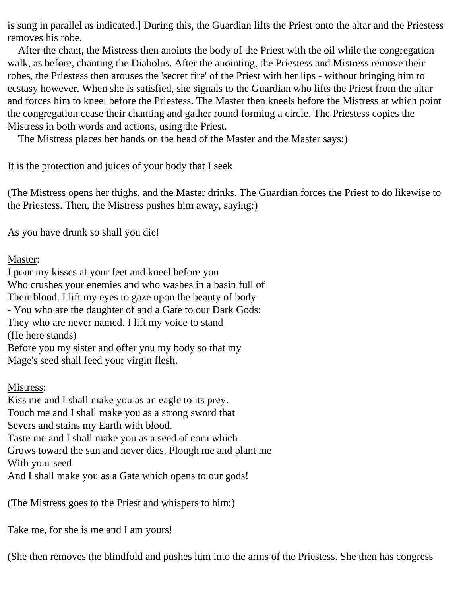is sung in parallel as indicated.] During this, the Guardian lifts the Priest onto the altar and the Priestess removes his robe.

 After the chant, the Mistress then anoints the body of the Priest with the oil while the congregation walk, as before, chanting the Diabolus. After the anointing, the Priestess and Mistress remove their robes, the Priestess then arouses the 'secret fire' of the Priest with her lips - without bringing him to ecstasy however. When she is satisfied, she signals to the Guardian who lifts the Priest from the altar and forces him to kneel before the Priestess. The Master then kneels before the Mistress at which point the congregation cease their chanting and gather round forming a circle. The Priestess copies the Mistress in both words and actions, using the Priest.

The Mistress places her hands on the head of the Master and the Master says:)

It is the protection and juices of your body that I seek

(The Mistress opens her thighs, and the Master drinks. The Guardian forces the Priest to do likewise to the Priestess. Then, the Mistress pushes him away, saying:)

As you have drunk so shall you die!

#### Master:

I pour my kisses at your feet and kneel before you Who crushes your enemies and who washes in a basin full of Their blood. I lift my eyes to gaze upon the beauty of body - You who are the daughter of and a Gate to our Dark Gods: They who are never named. I lift my voice to stand (He here stands) Before you my sister and offer you my body so that my Mage's seed shall feed your virgin flesh.

## Mistress:

Kiss me and I shall make you as an eagle to its prey. Touch me and I shall make you as a strong sword that Severs and stains my Earth with blood. Taste me and I shall make you as a seed of corn which Grows toward the sun and never dies. Plough me and plant me With your seed And I shall make you as a Gate which opens to our gods!

(The Mistress goes to the Priest and whispers to him:)

Take me, for she is me and I am yours!

(She then removes the blindfold and pushes him into the arms of the Priestess. She then has congress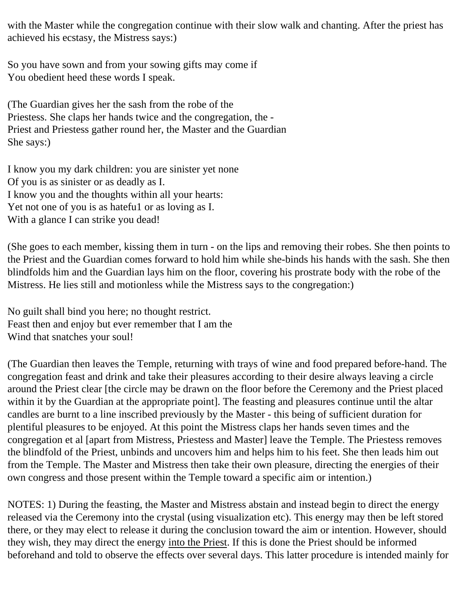with the Master while the congregation continue with their slow walk and chanting. After the priest has achieved his ecstasy, the Mistress says:)

So you have sown and from your sowing gifts may come if You obedient heed these words I speak.

(The Guardian gives her the sash from the robe of the Priestess. She claps her hands twice and the congregation, the - Priest and Priestess gather round her, the Master and the Guardian She says:)

I know you my dark children: you are sinister yet none Of you is as sinister or as deadly as I. I know you and the thoughts within all your hearts: Yet not one of you is as hatefu1 or as loving as I. With a glance I can strike you dead!

(She goes to each member, kissing them in turn - on the lips and removing their robes. She then points to the Priest and the Guardian comes forward to hold him while she-binds his hands with the sash. She then blindfolds him and the Guardian lays him on the floor, covering his prostrate body with the robe of the Mistress. He lies still and motionless while the Mistress says to the congregation:)

No guilt shall bind you here; no thought restrict. Feast then and enjoy but ever remember that I am the Wind that snatches your soul!

(The Guardian then leaves the Temple, returning with trays of wine and food prepared before-hand. The congregation feast and drink and take their pleasures according to their desire always leaving a circle around the Priest clear [the circle may be drawn on the floor before the Ceremony and the Priest placed within it by the Guardian at the appropriate point]. The feasting and pleasures continue until the altar candles are burnt to a line inscribed previously by the Master - this being of sufficient duration for plentiful pleasures to be enjoyed. At this point the Mistress claps her hands seven times and the congregation et al [apart from Mistress, Priestess and Master] leave the Temple. The Priestess removes the blindfold of the Priest, unbinds and uncovers him and helps him to his feet. She then leads him out from the Temple. The Master and Mistress then take their own pleasure, directing the energies of their own congress and those present within the Temple toward a specific aim or intention.)

NOTES: 1) During the feasting, the Master and Mistress abstain and instead begin to direct the energy released via the Ceremony into the crystal (using visualization etc). This energy may then be left stored there, or they may elect to release it during the conclusion toward the aim or intention. However, should they wish, they may direct the energy into the Priest. If this is done the Priest should be informed beforehand and told to observe the effects over several days. This latter procedure is intended mainly for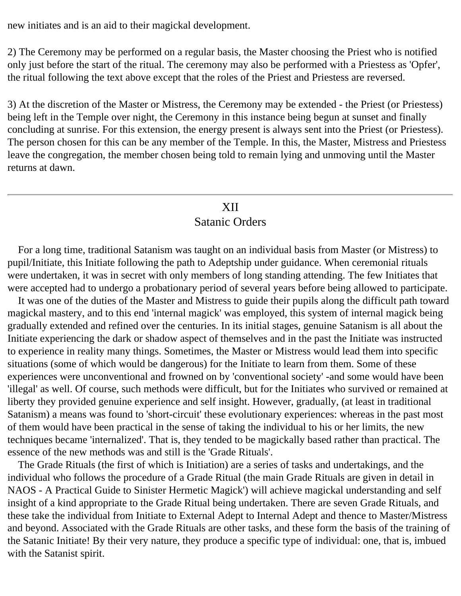new initiates and is an aid to their magickal development.

2) The Ceremony may be performed on a regular basis, the Master choosing the Priest who is notified only just before the start of the ritual. The ceremony may also be performed with a Priestess as 'Opfer', the ritual following the text above except that the roles of the Priest and Priestess are reversed.

3) At the discretion of the Master or Mistress, the Ceremony may be extended - the Priest (or Priestess) being left in the Temple over night, the Ceremony in this instance being begun at sunset and finally concluding at sunrise. For this extension, the energy present is always sent into the Priest (or Priestess). The person chosen for this can be any member of the Temple. In this, the Master, Mistress and Priestess leave the congregation, the member chosen being told to remain lying and unmoving until the Master returns at dawn.

## XII

#### Satanic Orders

<span id="page-33-0"></span> For a long time, traditional Satanism was taught on an individual basis from Master (or Mistress) to pupil/Initiate, this Initiate following the path to Adeptship under guidance. When ceremonial rituals were undertaken, it was in secret with only members of long standing attending. The few Initiates that were accepted had to undergo a probationary period of several years before being allowed to participate.

 It was one of the duties of the Master and Mistress to guide their pupils along the difficult path toward magickal mastery, and to this end 'internal magick' was employed, this system of internal magick being gradually extended and refined over the centuries. In its initial stages, genuine Satanism is all about the Initiate experiencing the dark or shadow aspect of themselves and in the past the Initiate was instructed to experience in reality many things. Sometimes, the Master or Mistress would lead them into specific situations (some of which would be dangerous) for the Initiate to learn from them. Some of these experiences were unconventional and frowned on by 'conventional society' -and some would have been 'illegal' as well. Of course, such methods were difficult, but for the Initiates who survived or remained at liberty they provided genuine experience and self insight. However, gradually, (at least in traditional Satanism) a means was found to 'short-circuit' these evolutionary experiences: whereas in the past most of them would have been practical in the sense of taking the individual to his or her limits, the new techniques became 'internalized'. That is, they tended to be magickally based rather than practical. The essence of the new methods was and still is the 'Grade Rituals'.

 The Grade Rituals (the first of which is Initiation) are a series of tasks and undertakings, and the individual who follows the procedure of a Grade Ritual (the main Grade Rituals are given in detail in NAOS - A Practical Guide to Sinister Hermetic Magick') will achieve magickal understanding and self insight of a kind appropriate to the Grade Ritual being undertaken. There are seven Grade Rituals, and these take the individual from Initiate to External Adept to Internal Adept and thence to Master/Mistress and beyond. Associated with the Grade Rituals are other tasks, and these form the basis of the training of the Satanic Initiate! By their very nature, they produce a specific type of individual: one, that is, imbued with the Satanist spirit.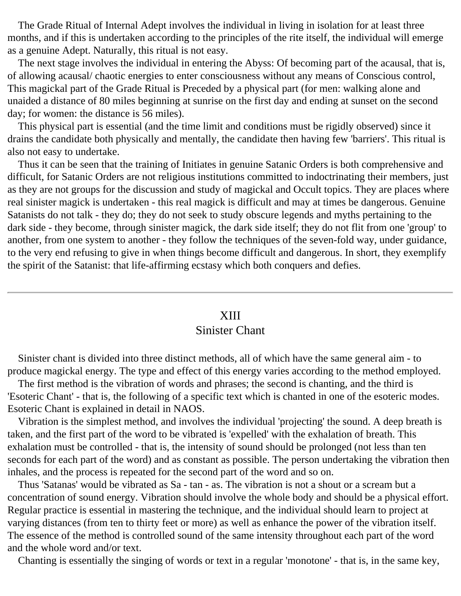The Grade Ritual of Internal Adept involves the individual in living in isolation for at least three months, and if this is undertaken according to the principles of the rite itself, the individual will emerge as a genuine Adept. Naturally, this ritual is not easy.

 The next stage involves the individual in entering the Abyss: Of becoming part of the acausal, that is, of allowing acausal/ chaotic energies to enter consciousness without any means of Conscious control, This magickal part of the Grade Ritual is Preceded by a physical part (for men: walking alone and unaided a distance of 80 miles beginning at sunrise on the first day and ending at sunset on the second day; for women: the distance is 56 miles).

 This physical part is essential (and the time limit and conditions must be rigidly observed) since it drains the candidate both physically and mentally, the candidate then having few 'barriers'. This ritual is also not easy to undertake.

 Thus it can be seen that the training of Initiates in genuine Satanic Orders is both comprehensive and difficult, for Satanic Orders are not religious institutions committed to indoctrinating their members, just as they are not groups for the discussion and study of magickal and Occult topics. They are places where real sinister magick is undertaken - this real magick is difficult and may at times be dangerous. Genuine Satanists do not talk - they do; they do not seek to study obscure legends and myths pertaining to the dark side - they become, through sinister magick, the dark side itself; they do not flit from one 'group' to another, from one system to another - they follow the techniques of the seven-fold way, under guidance, to the very end refusing to give in when things become difficult and dangerous. In short, they exemplify the spirit of the Satanist: that life-affirming ecstasy which both conquers and defies.

#### XIII

## Sinister Chant

<span id="page-34-0"></span> Sinister chant is divided into three distinct methods, all of which have the same general aim - to produce magickal energy. The type and effect of this energy varies according to the method employed.

 The first method is the vibration of words and phrases; the second is chanting, and the third is 'Esoteric Chant' - that is, the following of a specific text which is chanted in one of the esoteric modes. Esoteric Chant is explained in detail in NAOS.

 Vibration is the simplest method, and involves the individual 'projecting' the sound. A deep breath is taken, and the first part of the word to be vibrated is 'expelled' with the exhalation of breath. This exhalation must be controlled - that is, the intensity of sound should be prolonged (not less than ten seconds for each part of the word) and as constant as possible. The person undertaking the vibration then inhales, and the process is repeated for the second part of the word and so on.

 Thus 'Satanas' would be vibrated as Sa - tan - as. The vibration is not a shout or a scream but a concentration of sound energy. Vibration should involve the whole body and should be a physical effort. Regular practice is essential in mastering the technique, and the individual should learn to project at varying distances (from ten to thirty feet or more) as well as enhance the power of the vibration itself. The essence of the method is controlled sound of the same intensity throughout each part of the word and the whole word and/or text.

Chanting is essentially the singing of words or text in a regular 'monotone' - that is, in the same key,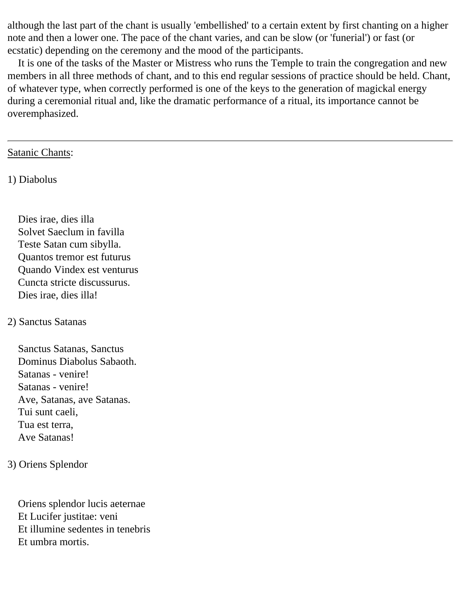although the last part of the chant is usually 'embellished' to a certain extent by first chanting on a higher note and then a lower one. The pace of the chant varies, and can be slow (or 'funerial') or fast (or ecstatic) depending on the ceremony and the mood of the participants.

 It is one of the tasks of the Master or Mistress who runs the Temple to train the congregation and new members in all three methods of chant, and to this end regular sessions of practice should be held. Chant, of whatever type, when correctly performed is one of the keys to the generation of magickal energy during a ceremonial ritual and, like the dramatic performance of a ritual, its importance cannot be overemphasized.

#### Satanic Chants:

1) Diabolus

 Dies irae, dies illa Solvet Saeclum in favilla Teste Satan cum sibylla. Quantos tremor est futurus Quando Vindex est venturus Cuncta stricte discussurus. Dies irae, dies illa!

#### 2) Sanctus Satanas

 Sanctus Satanas, Sanctus Dominus Diabolus Sabaoth. Satanas - venire! Satanas - venire! Ave, Satanas, ave Satanas. Tui sunt caeli, Tua est terra, Ave Satanas!

#### 3) Oriens Splendor

 Oriens splendor lucis aeternae Et Lucifer justitae: veni Et illumine sedentes in tenebris Et umbra mortis.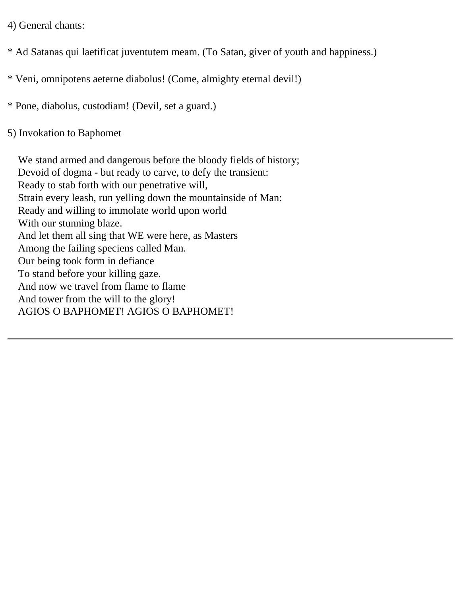4) General chants:

\* Ad Satanas qui laetificat juventutem meam. (To Satan, giver of youth and happiness.)

\* Veni, omnipotens aeterne diabolus! (Come, almighty eternal devil!)

\* Pone, diabolus, custodiam! (Devil, set a guard.)

5) Invokation to Baphomet

 We stand armed and dangerous before the bloody fields of history; Devoid of dogma - but ready to carve, to defy the transient: Ready to stab forth with our penetrative will, Strain every leash, run yelling down the mountainside of Man: Ready and willing to immolate world upon world With our stunning blaze. And let them all sing that WE were here, as Masters Among the failing speciens called Man. Our being took form in defiance To stand before your killing gaze. And now we travel from flame to flame And tower from the will to the glory! AGIOS O BAPHOMET! AGIOS O BAPHOMET!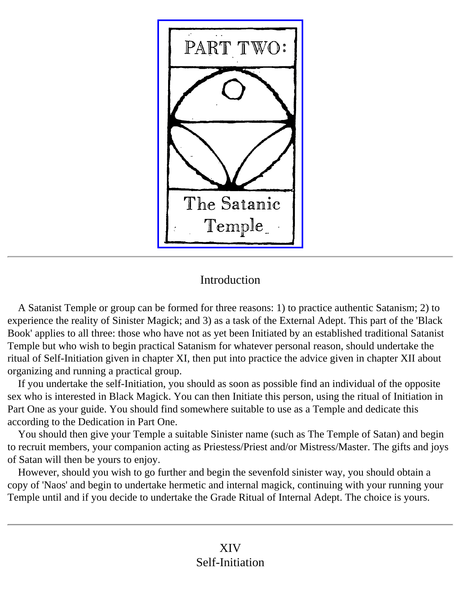

# Introduction

<span id="page-37-0"></span> A Satanist Temple or group can be formed for three reasons: 1) to practice authentic Satanism; 2) to experience the reality of Sinister Magick; and 3) as a task of the External Adept. This part of the 'Black Book' applies to all three: those who have not as yet been Initiated by an established traditional Satanist Temple but who wish to begin practical Satanism for whatever personal reason, should undertake the ritual of Self-Initiation given in chapter XI, then put into practice the advice given in chapter XII about organizing and running a practical group.

 If you undertake the self-Initiation, you should as soon as possible find an individual of the opposite sex who is interested in Black Magick. You can then Initiate this person, using the ritual of Initiation in Part One as your guide. You should find somewhere suitable to use as a Temple and dedicate this according to the Dedication in Part One.

 You should then give your Temple a suitable Sinister name (such as The Temple of Satan) and begin to recruit members, your companion acting as Priestess/Priest and/or Mistress/Master. The gifts and joys of Satan will then be yours to enjoy.

<span id="page-37-1"></span> However, should you wish to go further and begin the sevenfold sinister way, you should obtain a copy of 'Naos' and begin to undertake hermetic and internal magick, continuing with your running your Temple until and if you decide to undertake the Grade Ritual of Internal Adept. The choice is yours.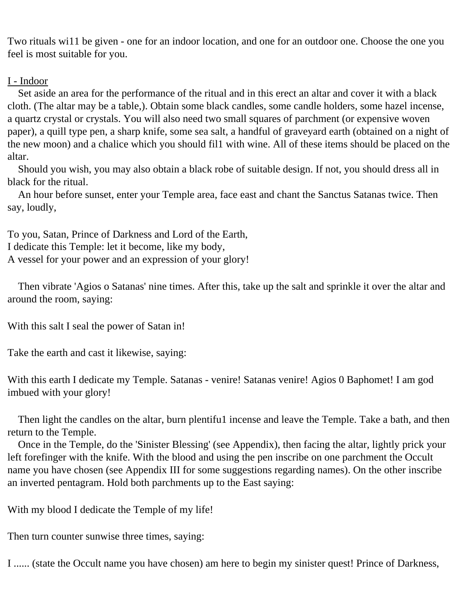Two rituals wi11 be given - one for an indoor location, and one for an outdoor one. Choose the one you feel is most suitable for you.

#### I - Indoor

 Set aside an area for the performance of the ritual and in this erect an altar and cover it with a black cloth. (The altar may be a table,). Obtain some black candles, some candle holders, some hazel incense, a quartz crystal or crystals. You will also need two small squares of parchment (or expensive woven paper), a quill type pen, a sharp knife, some sea salt, a handful of graveyard earth (obtained on a night of the new moon) and a chalice which you should fil1 with wine. All of these items should be placed on the altar.

 Should you wish, you may also obtain a black robe of suitable design. If not, you should dress all in black for the ritual.

 An hour before sunset, enter your Temple area, face east and chant the Sanctus Satanas twice. Then say, loudly,

To you, Satan, Prince of Darkness and Lord of the Earth, I dedicate this Temple: let it become, like my body, A vessel for your power and an expression of your glory!

 Then vibrate 'Agios o Satanas' nine times. After this, take up the salt and sprinkle it over the altar and around the room, saying:

With this salt I seal the power of Satan in!

Take the earth and cast it likewise, saying:

With this earth I dedicate my Temple. Satanas - venire! Satanas venire! Agios 0 Baphomet! I am god imbued with your glory!

Then light the candles on the altar, burn plentifu1 incense and leave the Temple. Take a bath, and then return to the Temple.

 Once in the Temple, do the 'Sinister Blessing' (see Appendix), then facing the altar, lightly prick your left forefinger with the knife. With the blood and using the pen inscribe on one parchment the Occult name you have chosen (see Appendix III for some suggestions regarding names). On the other inscribe an inverted pentagram. Hold both parchments up to the East saying:

With my blood I dedicate the Temple of my life!

Then turn counter sunwise three times, saying:

I ...... (state the Occult name you have chosen) am here to begin my sinister quest! Prince of Darkness,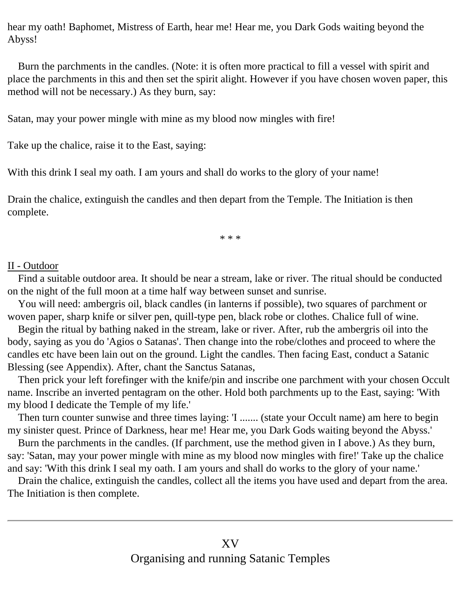hear my oath! Baphomet, Mistress of Earth, hear me! Hear me, you Dark Gods waiting beyond the Abyss!

 Burn the parchments in the candles. (Note: it is often more practical to fill a vessel with spirit and place the parchments in this and then set the spirit alight. However if you have chosen woven paper, this method will not be necessary.) As they burn, say:

Satan, may your power mingle with mine as my blood now mingles with fire!

Take up the chalice, raise it to the East, saying:

With this drink I seal my oath. I am yours and shall do works to the glory of your name!

Drain the chalice, extinguish the candles and then depart from the Temple. The Initiation is then complete.

\* \* \*

#### II - Outdoor

 Find a suitable outdoor area. It should be near a stream, lake or river. The ritual should be conducted on the night of the full moon at a time half way between sunset and sunrise.

 You will need: ambergris oil, black candles (in lanterns if possible), two squares of parchment or woven paper, sharp knife or silver pen, quill-type pen, black robe or clothes. Chalice full of wine.

 Begin the ritual by bathing naked in the stream, lake or river. After, rub the ambergris oil into the body, saying as you do 'Agios o Satanas'. Then change into the robe/clothes and proceed to where the candles etc have been lain out on the ground. Light the candles. Then facing East, conduct a Satanic Blessing (see Appendix). After, chant the Sanctus Satanas,

 Then prick your left forefinger with the knife/pin and inscribe one parchment with your chosen Occult name. Inscribe an inverted pentagram on the other. Hold both parchments up to the East, saying: 'With my blood I dedicate the Temple of my life.'

 Then turn counter sunwise and three times laying: 'I ....... (state your Occult name) am here to begin my sinister quest. Prince of Darkness, hear me! Hear me, you Dark Gods waiting beyond the Abyss.'

 Burn the parchments in the candles. (If parchment, use the method given in I above.) As they burn, say: 'Satan, may your power mingle with mine as my blood now mingles with fire!' Take up the chalice and say: 'With this drink I seal my oath. I am yours and shall do works to the glory of your name.'

<span id="page-39-0"></span> Drain the chalice, extinguish the candles, collect all the items you have used and depart from the area. The Initiation is then complete.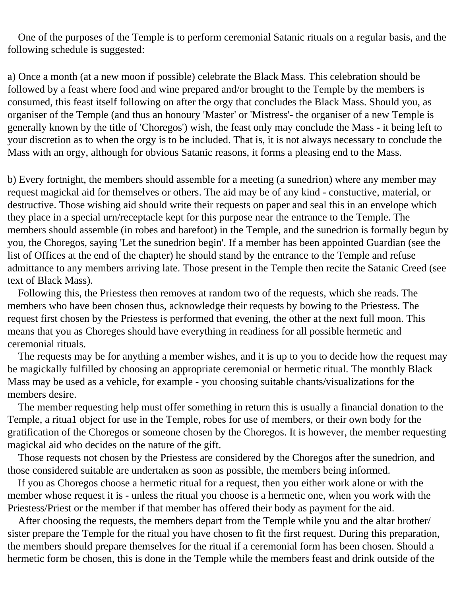One of the purposes of the Temple is to perform ceremonial Satanic rituals on a regular basis, and the following schedule is suggested:

a) Once a month (at a new moon if possible) celebrate the Black Mass. This celebration should be followed by a feast where food and wine prepared and/or brought to the Temple by the members is consumed, this feast itself following on after the orgy that concludes the Black Mass. Should you, as organiser of the Temple (and thus an honoury 'Master' or 'Mistress'- the organiser of a new Temple is generally known by the title of 'Choregos') wish, the feast only may conclude the Mass - it being left to your discretion as to when the orgy is to be included. That is, it is not always necessary to conclude the Mass with an orgy, although for obvious Satanic reasons, it forms a pleasing end to the Mass.

b) Every fortnight, the members should assemble for a meeting (a sunedrion) where any member may request magickal aid for themselves or others. The aid may be of any kind - constuctive, material, or destructive. Those wishing aid should write their requests on paper and seal this in an envelope which they place in a special urn/receptacle kept for this purpose near the entrance to the Temple. The members should assemble (in robes and barefoot) in the Temple, and the sunedrion is formally begun by you, the Choregos, saying 'Let the sunedrion begin'. If a member has been appointed Guardian (see the list of Offices at the end of the chapter) he should stand by the entrance to the Temple and refuse admittance to any members arriving late. Those present in the Temple then recite the Satanic Creed (see text of Black Mass).

 Following this, the Priestess then removes at random two of the requests, which she reads. The members who have been chosen thus, acknowledge their requests by bowing to the Priestess. The request first chosen by the Priestess is performed that evening, the other at the next full moon. This means that you as Choreges should have everything in readiness for all possible hermetic and ceremonial rituals.

 The requests may be for anything a member wishes, and it is up to you to decide how the request may be magickally fulfilled by choosing an appropriate ceremonial or hermetic ritual. The monthly Black Mass may be used as a vehicle, for example - you choosing suitable chants/visualizations for the members desire.

 The member requesting help must offer something in return this is usually a financial donation to the Temple, a ritua1 object for use in the Temple, robes for use of members, or their own body for the gratification of the Choregos or someone chosen by the Choregos. It is however, the member requesting magickal aid who decides on the nature of the gift.

 Those requests not chosen by the Priestess are considered by the Choregos after the sunedrion, and those considered suitable are undertaken as soon as possible, the members being informed.

 If you as Choregos choose a hermetic ritual for a request, then you either work alone or with the member whose request it is - unless the ritual you choose is a hermetic one, when you work with the Priestess/Priest or the member if that member has offered their body as payment for the aid.

 After choosing the requests, the members depart from the Temple while you and the altar brother/ sister prepare the Temple for the ritual you have chosen to fit the first request. During this preparation, the members should prepare themselves for the ritual if a ceremonial form has been chosen. Should a hermetic form be chosen, this is done in the Temple while the members feast and drink outside of the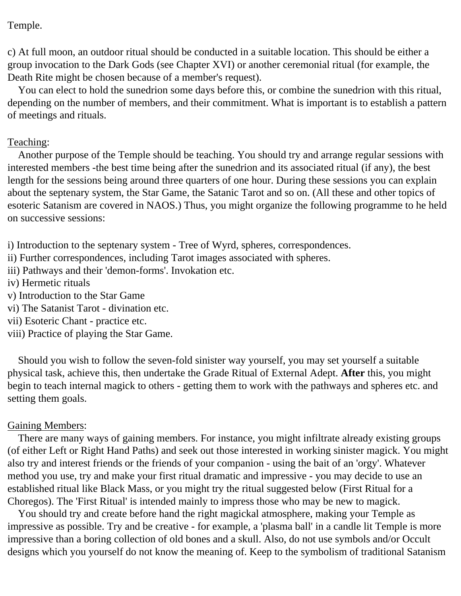Temple.

c) At full moon, an outdoor ritual should be conducted in a suitable location. This should be either a group invocation to the Dark Gods (see Chapter XVI) or another ceremonial ritual (for example, the Death Rite might be chosen because of a member's request).

 You can elect to hold the sunedrion some days before this, or combine the sunedrion with this ritual, depending on the number of members, and their commitment. What is important is to establish a pattern of meetings and rituals.

#### Teaching:

 Another purpose of the Temple should be teaching. You should try and arrange regular sessions with interested members -the best time being after the sunedrion and its associated ritual (if any), the best length for the sessions being around three quarters of one hour. During these sessions you can explain about the septenary system, the Star Game, the Satanic Tarot and so on. (All these and other topics of esoteric Satanism are covered in NAOS.) Thus, you might organize the following programme to he held on successive sessions:

i) Introduction to the septenary system - Tree of Wyrd, spheres, correspondences.

- ii) Further correspondences, including Tarot images associated with spheres.
- iii) Pathways and their 'demon-forms'. Invokation etc.
- iv) Hermetic rituals
- v) Introduction to the Star Game
- vi) The Satanist Tarot divination etc.
- vii) Esoteric Chant practice etc.
- viii) Practice of playing the Star Game.

 Should you wish to follow the seven-fold sinister way yourself, you may set yourself a suitable physical task, achieve this, then undertake the Grade Ritual of External Adept. **After** this, you might begin to teach internal magick to others - getting them to work with the pathways and spheres etc. and setting them goals.

#### Gaining Members:

 There are many ways of gaining members. For instance, you might infiltrate already existing groups (of either Left or Right Hand Paths) and seek out those interested in working sinister magick. You might also try and interest friends or the friends of your companion - using the bait of an 'orgy'. Whatever method you use, try and make your first ritual dramatic and impressive - you may decide to use an established ritual like Black Mass, or you might try the ritual suggested below (First Ritual for a Choregos). The 'First Ritual' is intended mainly to impress those who may be new to magick.

 You should try and create before hand the right magickal atmosphere, making your Temple as impressive as possible. Try and be creative - for example, a 'plasma ball' in a candle lit Temple is more impressive than a boring collection of old bones and a skull. Also, do not use symbols and/or Occult designs which you yourself do not know the meaning of. Keep to the symbolism of traditional Satanism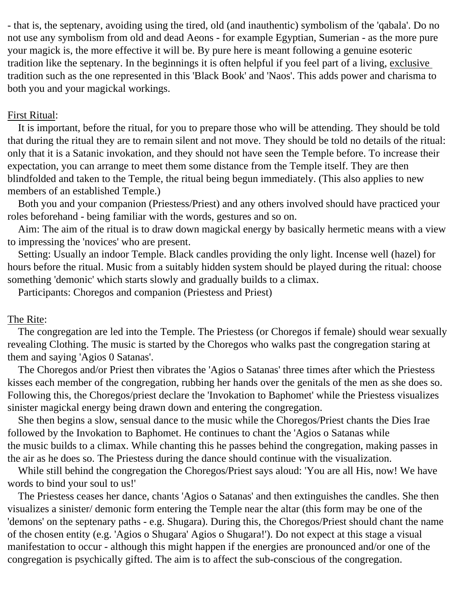- that is, the septenary, avoiding using the tired, old (and inauthentic) symbolism of the 'qabala'. Do no not use any symbolism from old and dead Aeons - for example Egyptian, Sumerian - as the more pure your magick is, the more effective it will be. By pure here is meant following a genuine esoteric tradition like the septenary. In the beginnings it is often helpful if you feel part of a living, exclusive tradition such as the one represented in this 'Black Book' and 'Naos'. This adds power and charisma to both you and your magickal workings.

#### First Ritual:

 It is important, before the ritual, for you to prepare those who will be attending. They should be told that during the ritual they are to remain silent and not move. They should be told no details of the ritual: only that it is a Satanic invokation, and they should not have seen the Temple before. To increase their expectation, you can arrange to meet them some distance from the Temple itself. They are then blindfolded and taken to the Temple, the ritual being begun immediately. (This also applies to new members of an established Temple.)

 Both you and your companion (Priestess/Priest) and any others involved should have practiced your roles beforehand - being familiar with the words, gestures and so on.

 Aim: The aim of the ritual is to draw down magickal energy by basically hermetic means with a view to impressing the 'novices' who are present.

 Setting: Usually an indoor Temple. Black candles providing the only light. Incense well (hazel) for hours before the ritual. Music from a suitably hidden system should be played during the ritual: choose something 'demonic' which starts slowly and gradually builds to a climax.

Participants: Choregos and companion (Priestess and Priest)

## The Rite:

 The congregation are led into the Temple. The Priestess (or Choregos if female) should wear sexually revealing Clothing. The music is started by the Choregos who walks past the congregation staring at them and saying 'Agios 0 Satanas'.

 The Choregos and/or Priest then vibrates the 'Agios o Satanas' three times after which the Priestess kisses each member of the congregation, rubbing her hands over the genitals of the men as she does so. Following this, the Choregos/priest declare the 'Invokation to Baphomet' while the Priestess visualizes sinister magickal energy being drawn down and entering the congregation.

 She then begins a slow, sensual dance to the music while the Choregos/Priest chants the Dies Irae followed by the Invokation to Baphomet. He continues to chant the 'Agios o Satanas while the music builds to a climax. While chanting this he passes behind the congregation, making passes in the air as he does so. The Priestess during the dance should continue with the visualization.

 While still behind the congregation the Choregos/Priest says aloud: 'You are all His, now! We have words to bind your soul to us!'

 The Priestess ceases her dance, chants 'Agios o Satanas' and then extinguishes the candles. She then visualizes a sinister/ demonic form entering the Temple near the altar (this form may be one of the 'demons' on the septenary paths - e.g. Shugara). During this, the Choregos/Priest should chant the name of the chosen entity (e.g. 'Agios o Shugara' Agios o Shugara!'). Do not expect at this stage a visual manifestation to occur - although this might happen if the energies are pronounced and/or one of the congregation is psychically gifted. The aim is to affect the sub-conscious of the congregation.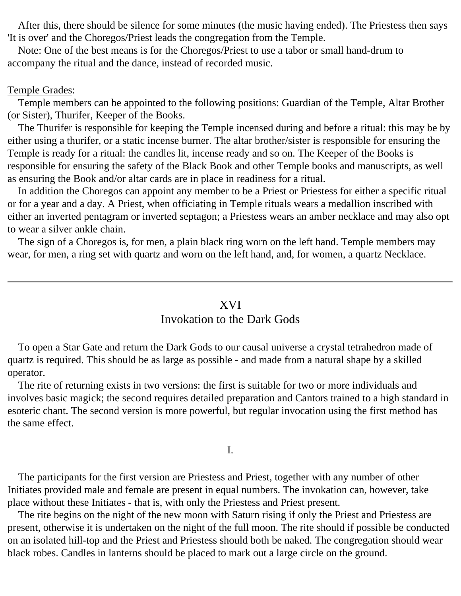After this, there should be silence for some minutes (the music having ended). The Priestess then says 'It is over' and the Choregos/Priest leads the congregation from the Temple.

 Note: One of the best means is for the Choregos/Priest to use a tabor or small hand-drum to accompany the ritual and the dance, instead of recorded music.

#### Temple Grades:

 Temple members can be appointed to the following positions: Guardian of the Temple, Altar Brother (or Sister), Thurifer, Keeper of the Books.

 The Thurifer is responsible for keeping the Temple incensed during and before a ritual: this may be by either using a thurifer, or a static incense burner. The altar brother/sister is responsible for ensuring the Temple is ready for a ritual: the candles lit, incense ready and so on. The Keeper of the Books is responsible for ensuring the safety of the Black Book and other Temple books and manuscripts, as well as ensuring the Book and/or altar cards are in place in readiness for a ritual.

 In addition the Choregos can appoint any member to be a Priest or Priestess for either a specific ritual or for a year and a day. A Priest, when officiating in Temple rituals wears a medallion inscribed with either an inverted pentagram or inverted septagon; a Priestess wears an amber necklace and may also opt to wear a silver ankle chain.

 The sign of a Choregos is, for men, a plain black ring worn on the left hand. Temple members may wear, for men, a ring set with quartz and worn on the left hand, and, for women, a quartz Necklace.

#### XVI

#### Invokation to the Dark Gods

<span id="page-43-0"></span> To open a Star Gate and return the Dark Gods to our causal universe a crystal tetrahedron made of quartz is required. This should be as large as possible - and made from a natural shape by a skilled operator.

 The rite of returning exists in two versions: the first is suitable for two or more individuals and involves basic magick; the second requires detailed preparation and Cantors trained to a high standard in esoteric chant. The second version is more powerful, but regular invocation using the first method has the same effect.

I.

 The participants for the first version are Priestess and Priest, together with any number of other Initiates provided male and female are present in equal numbers. The invokation can, however, take place without these Initiates - that is, with only the Priestess and Priest present.

 The rite begins on the night of the new moon with Saturn rising if only the Priest and Priestess are present, otherwise it is undertaken on the night of the full moon. The rite should if possible be conducted on an isolated hill-top and the Priest and Priestess should both be naked. The congregation should wear black robes. Candles in lanterns should be placed to mark out a large circle on the ground.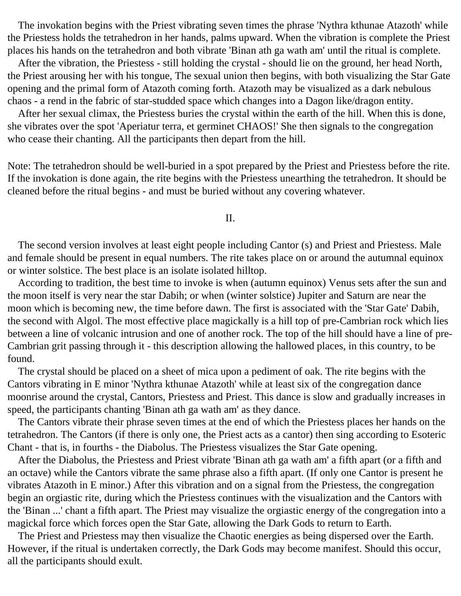The invokation begins with the Priest vibrating seven times the phrase 'Nythra kthunae Atazoth' while the Priestess holds the tetrahedron in her hands, palms upward. When the vibration is complete the Priest places his hands on the tetrahedron and both vibrate 'Binan ath ga wath am' until the ritual is complete.

 After the vibration, the Priestess - still holding the crystal - should lie on the ground, her head North, the Priest arousing her with his tongue, The sexual union then begins, with both visualizing the Star Gate opening and the primal form of Atazoth coming forth. Atazoth may be visualized as a dark nebulous chaos - a rend in the fabric of star-studded space which changes into a Dagon like/dragon entity.

 After her sexual climax, the Priestess buries the crystal within the earth of the hill. When this is done, she vibrates over the spot 'Aperiatur terra, et germinet CHAOS!' She then signals to the congregation who cease their chanting. All the participants then depart from the hill.

Note: The tetrahedron should be well-buried in a spot prepared by the Priest and Priestess before the rite. If the invokation is done again, the rite begins with the Priestess unearthing the tetrahedron. It should be cleaned before the ritual begins - and must be buried without any covering whatever.

II.

 The second version involves at least eight people including Cantor (s) and Priest and Priestess. Male and female should be present in equal numbers. The rite takes place on or around the autumnal equinox or winter solstice. The best place is an isolate isolated hilltop.

 According to tradition, the best time to invoke is when (autumn equinox) Venus sets after the sun and the moon itself is very near the star Dabih; or when (winter solstice) Jupiter and Saturn are near the moon which is becoming new, the time before dawn. The first is associated with the 'Star Gate' Dabih, the second with Algol. The most effective place magickally is a hill top of pre-Cambrian rock which lies between a line of volcanic intrusion and one of another rock. The top of the hill should have a line of pre-Cambrian grit passing through it - this description allowing the hallowed places, in this country, to be found.

 The crystal should be placed on a sheet of mica upon a pediment of oak. The rite begins with the Cantors vibrating in E minor 'Nythra kthunae Atazoth' while at least six of the congregation dance moonrise around the crystal, Cantors, Priestess and Priest. This dance is slow and gradually increases in speed, the participants chanting 'Binan ath ga wath am' as they dance.

 The Cantors vibrate their phrase seven times at the end of which the Priestess places her hands on the tetrahedron. The Cantors (if there is only one, the Priest acts as a cantor) then sing according to Esoteric Chant - that is, in fourths - the Diabolus. The Priestess visualizes the Star Gate opening.

 After the Diabolus, the Priestess and Priest vibrate 'Binan ath ga wath am' a fifth apart (or a fifth and an octave) while the Cantors vibrate the same phrase also a fifth apart. (If only one Cantor is present he vibrates Atazoth in E minor.) After this vibration and on a signal from the Priestess, the congregation begin an orgiastic rite, during which the Priestess continues with the visualization and the Cantors with the 'Binan ...' chant a fifth apart. The Priest may visualize the orgiastic energy of the congregation into a magickal force which forces open the Star Gate, allowing the Dark Gods to return to Earth.

 The Priest and Priestess may then visualize the Chaotic energies as being dispersed over the Earth. However, if the ritual is undertaken correctly, the Dark Gods may become manifest. Should this occur, all the participants should exult.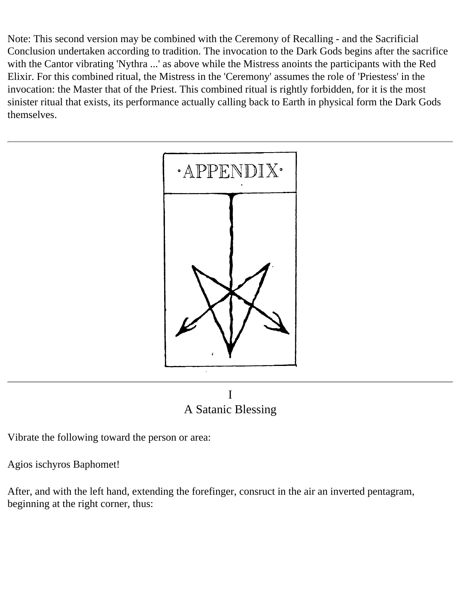Note: This second version may be combined with the Ceremony of Recalling - and the Sacrificial Conclusion undertaken according to tradition. The invocation to the Dark Gods begins after the sacrifice with the Cantor vibrating 'Nythra ...' as above while the Mistress anoints the participants with the Red Elixir. For this combined ritual, the Mistress in the 'Ceremony' assumes the role of 'Priestess' in the invocation: the Master that of the Priest. This combined ritual is rightly forbidden, for it is the most sinister ritual that exists, its performance actually calling back to Earth in physical form the Dark Gods themselves.





<span id="page-45-0"></span>Vibrate the following toward the person or area:

Agios ischyros Baphomet!

After, and with the left hand, extending the forefinger, consruct in the air an inverted pentagram, beginning at the right corner, thus: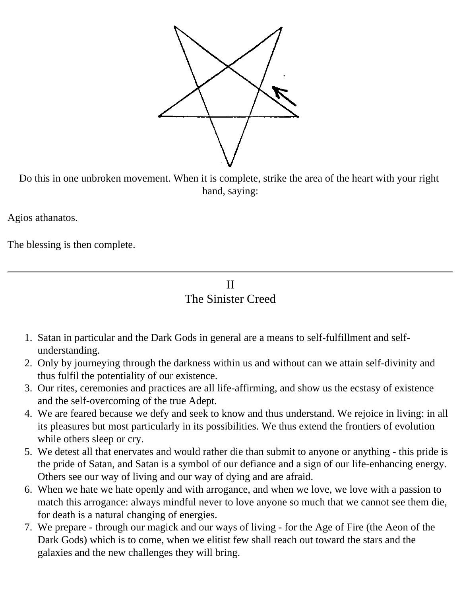

Do this in one unbroken movement. When it is complete, strike the area of the heart with your right hand, saying:

Agios athanatos.

<span id="page-46-0"></span>The blessing is then complete.

II The Sinister Creed

- 1. Satan in particular and the Dark Gods in general are a means to self-fulfillment and selfunderstanding.
- 2. Only by journeying through the darkness within us and without can we attain self-divinity and thus fulfil the potentiality of our existence.
- 3. Our rites, ceremonies and practices are all life-affirming, and show us the ecstasy of existence and the self-overcoming of the true Adept.
- 4. We are feared because we defy and seek to know and thus understand. We rejoice in living: in all its pleasures but most particularly in its possibilities. We thus extend the frontiers of evolution while others sleep or cry.
- 5. We detest all that enervates and would rather die than submit to anyone or anything this pride is the pride of Satan, and Satan is a symbol of our defiance and a sign of our life-enhancing energy. Others see our way of living and our way of dying and are afraid.
- 6. When we hate we hate openly and with arrogance, and when we love, we love with a passion to match this arrogance: always mindful never to love anyone so much that we cannot see them die, for death is a natural changing of energies.
- 7. We prepare through our magick and our ways of living for the Age of Fire (the Aeon of the Dark Gods) which is to come, when we elitist few shall reach out toward the stars and the galaxies and the new challenges they will bring.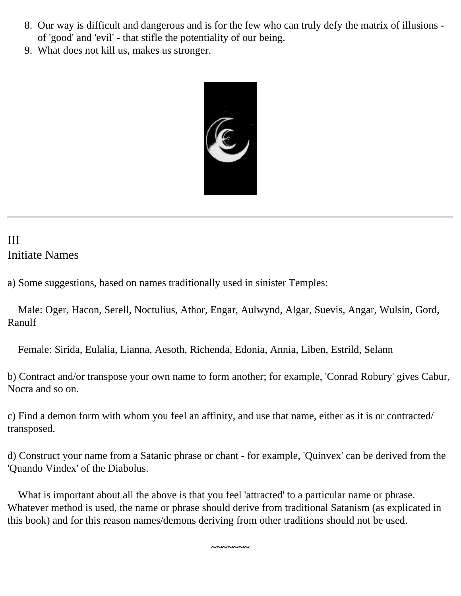- 8. Our way is difficult and dangerous and is for the few who can truly defy the matrix of illusions of 'good' and 'evil' - that stifle the potentiality of our being.
- 9. What does not kill us, makes us stronger.



# <span id="page-47-0"></span>III Initiate Names

a) Some suggestions, based on names traditionally used in sinister Temples:

 Male: Oger, Hacon, Serell, Noctulius, Athor, Engar, Aulwynd, Algar, Suevis, Angar, Wulsin, Gord, Ranulf

Female: Sirida, Eulalia, Lianna, Aesoth, Richenda, Edonia, Annia, Liben, Estrild, Selann

b) Contract and/or transpose your own name to form another; for example, 'Conrad Robury' gives Cabur, Nocra and so on.

c) Find a demon form with whom you feel an affinity, and use that name, either as it is or contracted/ transposed.

d) Construct your name from a Satanic phrase or chant - for example, 'Quinvex' can be derived from the 'Quando Vindex' of the Diabolus.

 What is important about all the above is that you feel 'attracted' to a particular name or phrase. Whatever method is used, the name or phrase should derive from traditional Satanism (as explicated in this book) and for this reason names/demons deriving from other traditions should not be used.

**~~~~~~~**